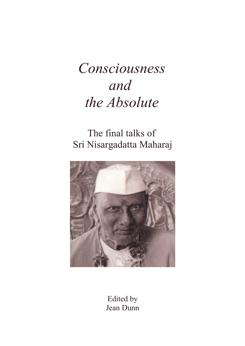# *Consciousness and the Absolute*

# The final talks of Sri Nisargadatta Maharaj



Edited by Jean Dunn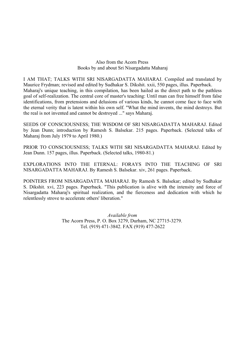### Also from the Acorn Press Books by and about Sri Nisargadatta Maharaj

I AM THAT; TALKS WITH SRI NISARGADATTA MAHARAJ. Compiled and translated by Maurice Frydman; revised and edited by Sudhakar S. Dikshit. xxii, 550 pages, illus. Paperback. Maharaj's unique teaching, in this compilation, has been hailed as the direct path to the pathless goal of self-realization. The central core of master's teaching: Until man can free himself from false identifications, from pretensions and delusions of various kinds, he cannot come face to face with the eternal verity that is latent within his own self. "What the mind invents, the mind destroys. But the real is not invented and cannot be destroyed ..." says Maharaj.

SEEDS OF CONSCIOUSNESS; THE WISDOM OF SRI NISARGADATTA MAHARAJ. Edited by Jean Dunn; introduction by Ramesh S. Balsekar. 215 pages. Paperback. (Selected talks of Maharaj from July 1979 to April 1980.)

PRIOR TO CONSCIOUSNESS; TALKS WITH SRI NISARGADATTA MAHARAJ. Edited by Jean Dunn. 157 pages, illus. Paperback. (Selected talks, 1980-81.)

EXPLORATIONS INTO THE ETERNAL: FORAYS INTO THE TEACHING OF SRI NISARGADATTA MAHARAJ. By Ramesh S. Balsekar. xiv, 261 pages. Paperback.

POINTERS FROM NISARGADATTA MAHARAJ. By Ramesh S. Balsekar; edited by Sudhakar S. Dikshit. xvi, 223 pages. Paperback. "This publication is alive with the intensity and force of Nisargadatta Maharaj's spiritual realization, and the fierceness and dedication with which he relentlessly strove to accelerate others' liberation."

> *Available from* The Acorn Press, P. O. Box 3279, Durham, NC 27715-3279. Tel. (919) 471-3842. FAX (919) 477-2622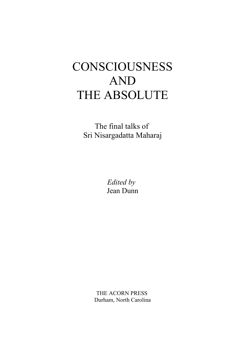# **CONSCIOUSNESS** AND THE ABSOLUTE

The final talks of Sri Nisargadatta Maharaj

> *Edited by*  Jean Dunn

THE ACORN PRESS Durham, North Carolina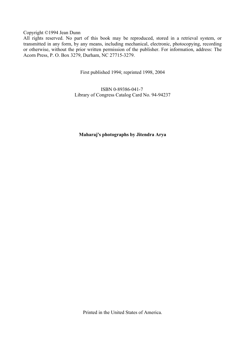Copyright ©1994 Jean Dunn

All rights reserved. No part of this book may be reproduced, stored in a retrieval system, or transmitted in any form, by any means, including mechanical, electronic, photocopying, recording or otherwise, without the prior written permission of the publisher. For information, address: The Acorn Press, P. O. Box 3279, Durham, NC 27715-3279.

First published 1994; reprinted 1998, 2004

ISBN 0-89386-041-7 Library of Congress Catalog Card No. 94-94237

**Maharaj's photographs by Jitendra Arya**

Printed in the United States of America.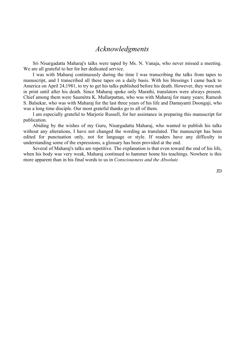## *Acknowledgments*

Sri Nisargadatta Maharaj's talks were taped by Ms. N. Vanaja, who never missed a meeting. We are all grateful to her for her dedicated service.

I was with Maharaj continuously during the time I was transcribing the talks from tapes to manuscript, and I transcribed all these tapes on a daily basis. With his blessings I came back to America on April 24,1981, to try to get his talks published before his death. However, they were not in print until after his death. Since Maharaj spoke only Marathi, translators were always present. Chief among them were Saumitra K. Mullarpattan, who was with Maharaj for many years; Ramesh S. Balsekar, who was with Maharaj for the last three years of his life and Damayanti Doongaji, who was a long time disciple. Our most grateful thanks go to all of them.

I am especially grateful to Marjorie Russell, for her assistance in preparing this manuscript for publication.

Abiding by the wishes of my Guru, Nisargadatta Maharaj, who wanted to publish his talks without any alterations, I have not changed the wording as translated. The manuscript has been edited for punctuation only, not for language or style. If readers have any difficulty in understanding some of the expressions, a glossary has been provided at the end.

Several of Maharaj's talks are repetitive. The explanation is that even toward the end of his life, when his body was very weak, Maharaj continued to hammer home his teachings. Nowhere is this more apparent than in his final words to us in *Consciousness and the Absolute.*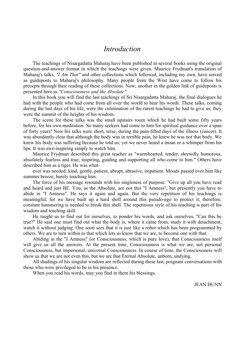### *Introduction*

The teachings of Nisargadatta Maharaj have been published in several books using the original question-and-answer format in which the teachings were given. Maurice Frydman's translation of Maharaj's talks, *"I Am That"* and other collections which followed, including my own, have served as guideposts to Maharaj's philosophy. Many people from the West have come to follow his precepts through their reading of these collections. Now, another in the golden link of guideposts is presented here as *"Consciousness and the Absolute".*

In this book you will find the last teachings of Sri Nisargadatta Maharaj, the final dialogues he had with the people who had come from all over the world to hear his words. These talks, coming during the last days of his life, were the culmination of the rarest teachings he had to give us; they were the summit of the heights of his wisdom.

The scene for these talks was the small upstairs room which he had built some fifty years before, for his own meditation. So many seekers had come to him for spiritual guidance over a span of forty years! Now his talks were short, terse, during the pain-filled days of the illness (cancer). It was abundantly clear that although the body was in terrible pain, he knew he was not that body. We knew his body was suffering because he told us; yet we never heard a moan or a whimper from his lips. It was awe-inspiring simply to watch him.

Maurice Frydman described this great teacher as "warmhearted, tender, shrewdly humorous, absolutely fearless and true; inspiring, guiding and supporting all who come to him." Others have described him as a tiger. He was what-

ever was needed: kind, gentle, patient, abrupt, abrasive, impatient. Moods passed over him like summer breeze, barely touching him.

The force of his message resounds with his singleness of purpose: "Give up all you have read and heard and just BE. You, as the Absolute, are not this "I Amness", but presently you have to abide in "I Amness". He says it again and again. But the very repetition of his teachings is meaningful, for we have built up a hard shell around this pseudo-ego to protect it; therefore, constant hammering is needed to break this shell. The repetitious style of his teaching is part of his wisdom and teaching skill.

He taught us to find out for ourselves, to ponder his words, and ask ourselves, "Can this be true?" He said one must find out what the body is, where it came from, study it with detachment, watch it without judging. One soon sees that it is just like a robot which has been programmed by others. We are to turn within to that which lets us know that we are, to become one with that.

Abiding in the "I Amness" (or Consciousness, which is pure love), that Consciousness itself will give us all the answers. At the present time, Consciousness is what we are, not personal Consciousness, but impersonal, universal Consciousness. In course of time, the Consciousness will show us that we are not even this, but we are that Eternal Absolute, unborn, undying.

All shadings of his singular wisdom are reflected during these last, poignant conversations with those who were privileged to be in his presence.

When you read his words, may you find in them his blessings.

**JEAN DUNN**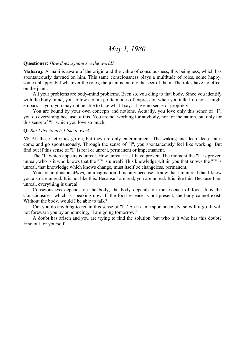# *May 1, 1980*

#### **Questioner:** *How does a jnani see the world?*

**Maharaj:** A jnani is aware of the origin and the value of consciousness, this beingness, which has spontaneously dawned on him. This same consciousness plays a multitude of roles, some happy, some unhappy; but whatever the roles, the jnani is merely the seer of them. The roles have no effect on the jnani.

All your problems are body-mind problems. Even so, you cling to that body. Since you identify with the body-mind, you follow certain polite modes of expression when you talk. I do not. I might embarrass you; you may not be able to take what I say. I have no sense of propriety.

You are bound by your own concepts and notions. Actually, you love only this sense of "I"; you do everything because of this. You are not working for anybody, nor for the nation, but only for this sense of "I" which you love so much.

### **Q:** *But I like to act; I like to work.*

**M:** All these activities go on, but they are only entertainment. The waking and deep sleep states come and go spontaneously. Through the sense of "I", you spontaneously feel like working. But find out if this sense of "I" is real or unreal, permanent or impermanent.

The "I" which appears is unreal. How unreal it is I have proven. The moment the "I" is proven unreal, who is it who knows that the "I" is unreal? This knowledge within you that knows the "I" is unreal, that knowledge which knows change, must itself be changeless, permanent.

You are an illusion, *Maya,* an imagination. It is only because I know that I'm unreal that I know you also are unreal. It is not like this: Because I am real, you are unreal. It is like this: Because I am unreal, everything is unreal.

Consciousness depends on the body; the body depends on the essence of food. It is the Consciousness which is speaking now. If the food-essence is not present, the body cannot exist. Without the body, would I be able to talk?

Can you do anything to retain this sense of "I"? As it came spontaneously, so will it go. It will not forewarn you by announcing, "I am going tomorrow."

A doubt has arisen and you are trying to find the solution, but who is it who has this doubt? Find out for yourself.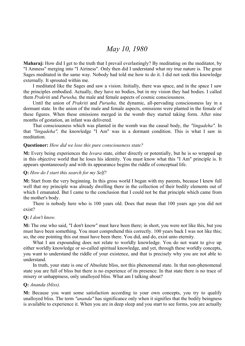# *May 10, 1980*

**Maharaj:** How did I get to the truth that I prevail everlastingly? By meditating on the meditator, by "I Amness" merging into "I Airiness". Only then did I understand what my true nature is. The great Sages meditated in the same way. Nobody had told me how to do it. I did not seek this knowledge externally. It sprouted within me.

I meditated like the Sages and saw a vision. Initially, there was space, and in the space I saw the principles embodied. Actually, they have no bodies, but in my vision they had bodies. I called them *Prakriti* and *Purusha,* the male and female aspects of cosmic consciousness.

Until the union of *Prakriti* and *Purusha,* the dynamic, all-pervading consciousness lay in a dormant state. In the union of the male and female aspects, emissions were planted in the female of these figures. When these emissions merged in the womb they started taking form. After nine months of gestation, an infant was delivered.

That consciousness which was planted in the womb was the causal body, the *"lingadeha".* In that *"lingadeha",* the knowledge "I Am" was in a dormant condition. This is what I saw in meditation.

### **Questioner:** *How did we lose this pure consciousness state?*

**M:** Every being experiences the *Isvara* state, either directly or potentially, but he is so wrapped up in this objective world that he loses his identity. You must know what this "I Am" principle is. It appears spontaneously and with its appearance begins the riddle of conceptual life.

### **Q:** *How do I start this search for my Self?*

**M:** Start from the very beginning. In this gross world I began with my parents, because I knew full well that my principle was already dwelling there in the collection of their bodily elements out of which I emanated. But I came to the conclusion that I could not be that principle which came from the mother's body.

There is nobody here who is 100 years old. Does that mean that 100 years ago you did not exist?

### **Q:** *I don't know.*

**M:** The one who said, "I don't know" must have been there; in short, you were not like this, but you must have been something. You must comprehend this correctly. 100 years back I was not like this; so, the one pointing this out must have been there. You did, and do, exist unto eternity.

What I am expounding does not relate to worldly knowledge. You do not want to give up either worldly knowledge or so-called spiritual knowledge, and yet, through these worldly concepts, you want to understand the riddle of your existence, and that is precisely why you are not able to understand.

In truth, your state is one of Absolute bliss, not this phenomenal state. In that non-phenomenal state you are full of bliss but there is no experience of its presence. In that state there is no trace of misery or unhappiness, only unalloyed bliss. What am I talking about?

### **Q:** *Ananda (bliss).*

**M:** Because you want some satisfaction according to your own concepts, you try to qualify unalloyed bliss. The term *"ananda"* has significance only when it signifies that the bodily beingness is available to experience it. When you are in deep sleep and you start to see forms, you are actually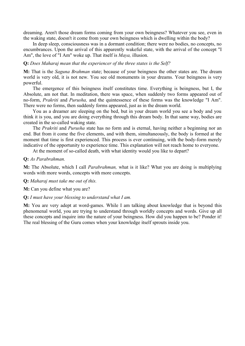dreaming. Aren't those dream forms coming from your own beingness? Whatever you see, even in the waking state, doesn't it come from your own beingness which is dwelling within the body?

In deep sleep, consciousness was in a dormant condition; there were no bodies, no concepts, no encumbrances. Upon the arrival of this apparently wakeful state, with the arrival of the concept "I Am", the love of "I Am" woke up. That itself is *Maya,* illusion.

### **Q:** *Does Maharaj mean that the experiencer of the three states is the Self?*

**M:** That is the *Saguna Brahman* state; because of your beingness the other states are. The dream world is very old, it is not new. You see old monuments in your dreams. Your beingness is very powerful.

The emergence of this beingness itself constitutes time. Everything is beingness, but I, the Absolute, am not that. In meditation, there was space, when suddenly two forms appeared out of no-form, *Prakriti* and *Purusha,* and the quintessence of these forms was the knowledge "I Am". There were no forms, then suddenly forms appeared, just as in the dream world.

You as a dreamer are sleeping on the bed, but in your dream world you see a body and you think it is you, and you are doing everything through this dream body. In that same way, bodies are created in the so-called waking state.

The *Prakriti* and *Purusha* state has no form and is eternal, having neither a beginning nor an end. But from it come the five elements, and with them, simultaneously, the body is formed at the moment that time is first experienced. This process is ever continuing, with the body-form merely indicative of the opportunity to experience time. This explanation will not reach home to everyone.

At the moment of so-called death, with what identity would you like to depart?

#### **Q:** *As Parabrahman.*

**M:** The Absolute, which I call *Parabrahman,* what is it like? What you are doing is multiplying words with more words, concepts with more concepts.

**Q:** *Maharaj must take me out of this.*

**M:** Can you define what you are?

### **Q:** *I must have your blessing to understand what I am.*

**M:** You are very adept at word-games. While I am talking about knowledge that is beyond this phenomenal world, you are trying to understand through worldly concepts and words. Give up all these concepts and inquire into the nature of your beingness. How did you happen to be? Ponder it! The real blessing of the Guru comes when your knowledge itself sprouts inside you.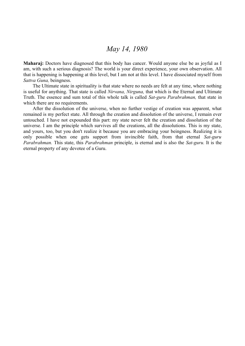# *May 14, 1980*

**Maharaj:** Doctors have diagnosed that this body has cancer. Would anyone else be as joyful as I am, with such a serious diagnosis? The world is your direct experience, your own observation. All that is happening is happening at this level, but I am not at this level. I have dissociated myself from *Sattva Guna,* beingness.

The Ultimate state in spirituality is that state where no needs are felt at any time, where nothing is useful for anything. That state is called *Nirvana, Nirguna,* that which is the Eternal and Ultimate Truth. The essence and sum total of this whole talk is called *Sat-guru Parabrahman,* that state in which there are no requirements.

After the dissolution of the universe, when no further vestige of creation was apparent, what remained is my perfect state. All through the creation and dissolution of the universe, I remain ever untouched. I have not expounded this part: my state never felt the creation and dissolution of the universe. I am the principle which survives all the creations, all the dissolutions. This is my state, and yours, too, but you don't realize it because you are embracing your beingness. Realizing it is only possible when one gets support from invincible faith, from that eternal *Sat-guru Parabrahman.* This state, this *Parabrahman* principle, is eternal and is also the *Sat-guru.* It is the eternal property of any devotee of a Guru.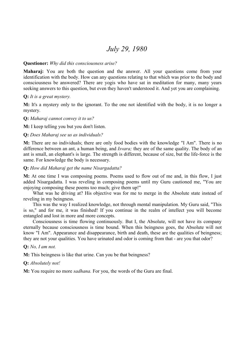# *July 29, 1980*

### **Questioner:** *Why did this consciousness arise?*

**Maharaj:** You are both the question and the answer. All your questions come from your identification with the body. How can any questions relating to that which was prior to the body and consciousness be answered? There are yogis who have sat in meditation for many, many years seeking answers to this question, but even they haven't understood it. And yet you are complaining.

### **Q:** *It is a great mystery.*

**M:** It's a mystery only to the ignorant. To the one not identified with the body, it is no longer a mystery.

### **Q:** *Maharaj cannot convey it to us?*

**M:** I keep telling you but you don't listen.

### **Q:** *Does Maharaj see us as individuals?*

**M:** There are no individuals; there are only food bodies with the knowledge "I Am". There is no difference between an ant, a human being, and *Isvara;* they are of the same quality. The body of an ant is small, an elephant's is large. The strength is different, because of size, but the life-force is the same. For knowledge the body is necessary.

### **Q:** *How did Maharaj get the name Nisargadatta?*

**M:** At one time I was composing poems. Poems used to flow out of me and, in this flow, I just added Nisargadatta. I was reveling in composing poems until my Guru cautioned me, "You are enjoying composing these poems too much; give them up!"

What was he driving at? His objective was for me to merge in the Absolute state instead of reveling in my beingness.

This was the way I realized knowledge, not through mental manipulation. My Guru said, "This is so," and for me, it was finished! If you continue in the realm of intellect you will become entangled and lost in more and more concepts.

Consciousness is time flowing continuously. But I, the Absolute, will not have its company eternally because consciousness is time bound. When this beingness goes, the Absolute will not know "I Am". Appearance and disappearance, birth and death, these are the qualities of beingness; they are not your qualities. You have urinated and odor is coming from that - are you that odor?

### **Q:** *No, I am not.*

**M:** This beingness is like that urine. Can you be that beingness?

### **Q:** *Absolutely not!*

**M:** You require no more *sadhana.* For you, the words of the Guru are final.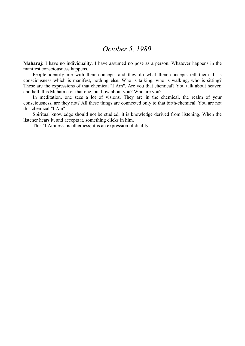# *October 5, 1980*

**Maharaj:** I have no individuality. I have assumed no pose as a person. Whatever happens in the manifest consciousness happens.

People identify me with their concepts and they do what their concepts tell them. It is consciousness which is manifest, nothing else. Who is talking, who is walking, who is sitting? These are the expressions of that chemical "I Am". Are you that chemical? You talk about heaven and hell, this Mahatma or that one, but how about you? Who are you?

In meditation, one sees a lot of visions. They are in the chemical, the realm of your consciousness, are they not? All these things are connected only to that birth-chemical. You are not this chemical "I Am"!

Spiritual knowledge should not be studied; it is knowledge derived from listening. When the listener hears it, and accepts it, something clicks in him.

This "I Amness" is otherness; it is an expression of duality.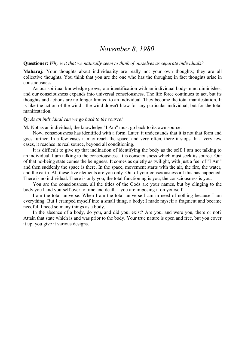## *November 8, 1980*

#### **Questioner:** *Why is it that we naturally seem to think of ourselves as separate individuals?*

**Maharaj:** Your thoughts about individuality are really not your own thoughts; they are all collective thoughts. You think that you are the one who has the thoughts; in fact thoughts arise in consciousness.

As our spiritual knowledge grows, our identification with an individual body-mind diminishes, and our consciousness expands into universal consciousness. The life force continues to act, but its thoughts and actions are no longer limited to an individual. They become the total manifestation. It is like the action of the wind - the wind doesn't blow for any particular individual, but for the total manifestation.

### **Q:** *As an individual can we go back to the source?*

**M:** Not as an individual; the knowledge "I Am" must go back to its own source.

Now, consciousness has identified with a form. Later, it understands that it is not that form and goes further. In a few cases it may reach the space, and very often, there it stops. In a very few cases, it reaches its real source, beyond all conditioning.

It is difficult to give up that inclination of identifying the body as the self. I am not talking to an individual, I am talking to the consciousness. It is consciousness which must seek its source. Out of that no-being state comes the beingness. It comes as quietly as twilight, with just a feel of "I Am" and then suddenly the space is there. In the space, movement starts with the air, the fire, the water, and the earth. All these five elements are you only. Out of your consciousness all this has happened. There is no individual. There is only you, the total functioning is you, the consciousness is you.

You are the consciousness, all the titles of the Gods are your names, but by clinging to the body you hand yourself over to time and death—you are imposing it on yourself.

I am the total universe. When I am the total universe I am in need of nothing because I am everything. But I cramped myself into a small thing, a body; I made myself a fragment and became needful. I need so many things as a body.

In the absence of a body, do you, and did you, exist? Are you, and were you, there or not? Attain that state which is and was prior to the body. Your true nature is open and free, but you cover it up, you give it various designs.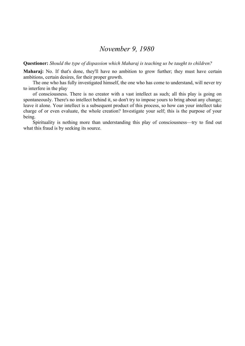# *November 9, 1980*

**Questioner:** *Should the type of dispassion which Maharaj is teaching us be taught to children?*

**Maharaj:** No. If that's done, they'll have no ambition to grow further; they must have certain ambitions, certain desires, for their proper growth.

The one who has fully investigated himself, the one who has come to understand, will never try to interfere in the play

of consciousness. There is no creator with a vast intellect as such; all this play is going on spontaneously. There's no intellect behind it, so don't try to impose yours to bring about any change; leave it alone. Your intellect is a subsequent product of this process, so how can your intellect take charge of or even evaluate, the whole creation? Investigate your self; this is the purpose of your being.

Spirituality is nothing more than understanding this play of consciousness—try to find out what this fraud is by seeking its source.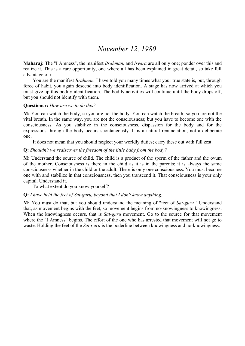# *November 12, 1980*

**Maharaj:** The "I Amness", the manifest *Brahman,* and *Isvara* are all only one; ponder over this and realize it. This is a rare opportunity, one where all has been explained in great detail, so take full advantage of it.

You are the manifest *Brahman.* I have told you many times what your true state is, but, through force of habit, you again descend into body identification. A stage has now arrived at which you must give up this bodily identification. The bodily activities will continue until the body drops off, but you should not identify with them.

### **Questioner:** *How are we to do this?*

**M:** You can watch the body, so you are not the body. You can watch the breath, so you are not the vital breath. In the same way, you are not the consciousness; but you have to become one with the consciousness. As you stabilize in the consciousness, dispassion for the body and for the expressions through the body occurs spontaneously. It is a natural renunciation, not a deliberate one.

It does not mean that you should neglect your worldly duties; carry these out with full zest.

### **Q:** *Shouldn't we rediscover the freedom of the little baby from the body?*

**M:** Understand the source of child. The child is a product of the sperm of the father and the ovum of the mother. Consciousness is there in the child as it is in the parents; it is always the same consciousness whether in the child or the adult. There is only one consciousness. You must become one with and stabilize in that consciousness, then you transcend it. That consciousness is your only capital. Understand it.

To what extent do you know yourself?

### **Q:** *I have held the feet of Sat-guru, beyond that I don't know anything.*

**M:** You must do that, but you should understand the meaning of "feet of *Sat-guru."* Understand that, as movement begins with the feet, so movement begins from no-knowingness to knowingness. When the knowingness occurs, that is *Sat-guru* movement. Go to the source for that movement where the "I Amness" begins. The effort of the one who has arrested that movement will not go to waste. Holding the feet of the *Sat-guru* is the boderline between knowingness and no-knowingness.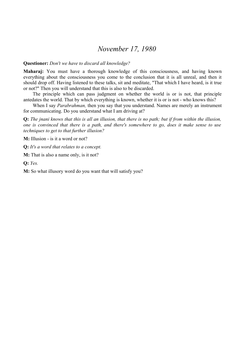# *November 17, 1980*

**Questioner:** *Don't we have to discard all knowledge?*

**Maharaj:** You must have a thorough knowledge of this consciousness, and having known everything about the consciousness you come to the conclusion that it is all unreal, and then it should drop off. Having listened to these talks, sit and meditate, "That which I have heard, is it true or not?" Then you will understand that this is also to be discarded.

The principle which can pass judgment on whether the world is or is not, that principle antedates the world. That by which everything is known, whether it is or is not - who knows this?

When I say *Parabrahman,* then you say that you understand. Names are merely an instrument for communicating. Do you understand what I am driving at?

Q: The jnani knows that this is all an illusion, that there is no path; but if from within the illusion, one is convinced that there is a path, and there's somewhere to go, does it make sense to use *techniques to get to that further illusion?*

**M:** Illusion - is it a word or not?

**Q:** *It's a word that relates to a concept.*

**M:** That is also a name only, is it not?

**Q:** *Yes.*

**M:** So what illusory word do you want that will satisfy you?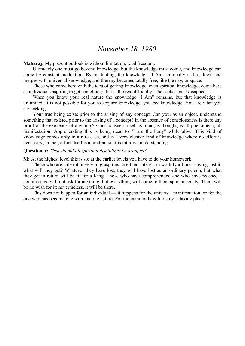### *November 18, 1980*

**Maharaj:** My present outlook is without limitation, total freedom.

Ultimately one must go beyond knowledge, but the knowledge must come, and knowledge can come by constant meditation. By meditating, the knowledge "I Am" gradually settles down and merges with universal knowledge, and thereby becomes totally free, like the sky, or space.

Those who come here with the idea of getting knowledge, even spiritual knowledge, come here as individuals aspiring to get something; that is the real difficulty. The seeker must disappear.

When you know your real nature the knowledge "I Am" remains, but that knowledge is unlimited. It is not possible for you to acquire knowledge, you *are* knowledge. You are what you are seeking.

Your true being exists prior to the arising of any concept. Can you, as an object, understand something that existed prior to the arising of a concept? In the absence of consciousness is there any proof of the existence of anything? Consciousness itself is mind, is thought, is all phenomena, all manifestation. Apprehending this is being dead to "I am the body" while alive. This kind of knowledge comes only in a rare case, and is a very elusive kind of knowledge where no effort is necessary; in fact, effort itself is a hindrance. It is intuitive understanding.

### **Questioner:** *Then should all spiritual disciplines be dropped?*

**M:** At the highest level this is so; at the earlier levels you have to do your homework.

Those who are able intuitively to grasp this lose their interest in worldly affairs. Having lost it, what will they get? Whatever they have lost, they will have lost as an ordinary person, but what they get in return will be fit for a King. Those who have comprehended and who have reached a certain stage will not ask for anything, but everything will come to them spontaneously. There will be no wish for it; nevertheless, it will be there.

This does not happen for an individual — it happens for the universal manifestation, or for the one who has become one with his true nature. For the jnani, only witnessing is taking place.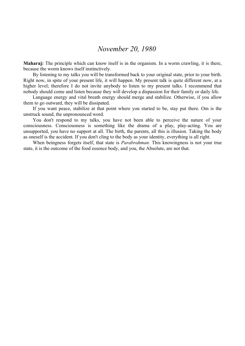### *November 20, 1980*

**Maharaj:** The principle which can know itself is in the organism. In a worm crawling, it is there, because the worm knows itself instinctively.

By listening to my talks you will be transformed back to your original state, prior to your birth. Right now, in spite of your present life, it will happen. My present talk is quite different now, at a higher level; therefore I do not invite anybody to listen to my present talks. I recommend that nobody should come and listen because they will develop a dispassion for their family or daily life.

Language energy and vital breath energy should merge and stabilize. Otherwise, if you allow them to go outward, they will be dissipated.

If you want peace, stabilize at that point where you started to be, stay put there. Om is the unstruck sound, the unpronounced word.

You don't respond to my talks, you have not been able to perceive the nature of your consciousness. Consciousness is something like the drama of a play, play-acting. You are unsupported, you have no support at all. The birth, the parents, all this is illusion. Taking the body as oneself is the accident. If you don't cling to the body as your identity, everything is all right.

When beingness forgets itself, that state is *Parabrahman.* This knowingness is not your true state, it is the outcome of the food essence body, and you, the Absolute, are not that.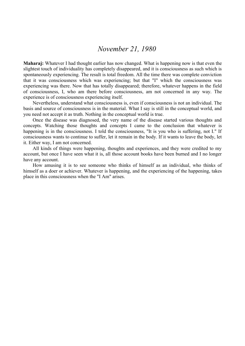### *November 21, 1980*

**Maharaj:** Whatever I had thought earlier has now changed. What is happening now is that even the slightest touch of individuality has completely disappeared, and it is consciousness as such which is spontaneously experiencing. The result is total freedom. All the time there was complete conviction that it was consciousness which was experiencing; but that "I" which the consciousness was experiencing was there. Now that has totally disappeared; therefore, whatever happens in the field of consciousness, I, who am there before consciousness, am not concerned in any way. The experience is of consciousness experiencing itself.

Nevertheless, understand what consciousness is, even if consciousness is not an individual. The basis and source of consciousness is in the material. What I say is still in the conceptual world, and you need not accept it as truth. Nothing in the conceptual world is true.

Once the disease was diagnosed, the very name of the disease started various thoughts and concepts. Watching those thoughts and concepts I came to the conclusion that whatever is happening is in the consciousness. I told the consciousness, "It is you who is suffering, not I." If consciousness wants to continue to suffer, let it remain in the body. If it wants to leave the body, let it. Either way, I am not concerned.

All kinds of things were happening, thoughts and experiences, and they were credited to my account, but once I have seen what it is, all those account books have been burned and I no longer have any account.

How amusing it is to see someone who thinks of himself as an individual, who thinks of himself as a doer or achiever. Whatever is happening, and the experiencing of the happening, takes place in this consciousness when the "I Am" arises.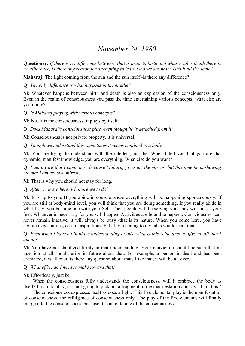# *November 24, 1980*

**Questioner:** If there is no difference between what is prior to birth and what is after death there is *no difference, is there any reason for attempting to learn who we are now? Isn't it all the same?*

**Maharaj:** The light coming from the sun and the sun itself - is there any difference?

**Q:** *The only difference is what happens in the middle?*

**M:** Whatever happens between birth and death is also an expression of the consciousness only. Even in the realm of consciousness you pass the time entertaining various concepts; what else are you doing?

**Q:** *Is Maharaj playing with various concepts?*

**M:** No. It is the consciousness, it plays by itself.

**Q:** *Does Maharaj's consciousness play, even though he is detached from it?*

**M:** Consciousness is not private property, it is universal.

**Q:** *Though we understand this, sometimes it seems confined to a body.*

**M:** You are trying to understand with the intellect; just be. When I tell you that you are that dynamic, manifest knowledge, you are everything. What else do you want?

 $Q: I$  am aware that I came here because Maharaj gives me the mirror, but this time he is showing *me that I am my own mirror.*

**M:** That is why you should not stay for long.

**Q:** *After we leave here, what are we to do?*

**M:** It is up to you. If you abide in consciousness everything will be happening spontaneously. If you are still at body-mind level, you will think that you are doing something. If you really abide in what I say, you become one with your Self. Then people will be serving you, they will fall at your feet. Whatever is necessary for you will happen. Activities are bound to happen. Consciousness can never remain inactive, it will always be busy -that is its nature. When you come here, you have certain expectations, certain aspirations, but after listening to my talks you lose all that.

 $Q$ : Even when I have an intuitive understanding of this, what is this reluctance to give up all that I *am not?*

**M:** You have not stabilized firmly in that understanding. Your conviction should be such that no question at all should arise in future about that. For example, a person is dead and has been cremated, it is all over, is there any question about that? Like that, it will be all over.

### **Q:** *What effort do I need to make toward that?*

### **M:** Effortlessly, just be.

When the consciousness fully understands the consciousness, will it embrace the body as itself? It is in totality; it is not going to pick out a fragment of the manifestation and say," I am this."

The consciousness expresses itself as does a light. This five elemental play is the manifestation of consciousness, the effulgence of consciousness only. The play of the five elements will finally merge into the consciousness, because it is an outcome of the consciousness.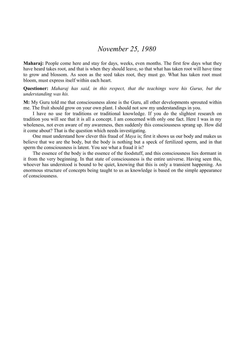## *November 25, 1980*

**Maharaj:** People come here and stay for days, weeks, even months. The first few days what they have heard takes root, and that is when they should leave, so that what has taken root will have time to grow and blossom. As soon as the seed takes root, they must go. What has taken root must bloom, must express itself within each heart.

**Questioner:** *Maharaj has said, in this respect, that the teachings were his Gurus, but the understanding was his.*

**M:** My Guru told me that consciousness alone is the Guru, all other developments sprouted within me. The fruit should grow on your own plant. I should not sow my understandings in you.

I have no use for traditions or traditional knowledge. If you do the slightest research on tradition you will see that it is all a concept. I am concerned with only one fact. Here I was in my wholeness, not even aware of my awareness, then suddenly this consciousness sprang up. How did it come about? That is the question which needs investigating.

One must understand how clever this fraud of *Maya* is; first it shows us our body and makes us believe that we are the body, but the body is nothing but a speck of fertilized sperm, and in that sperm the consciousness is latent. You see what a fraud it is?

The essence of the body is the essence of the foodstuff, and this consciousness lies dormant in it from the very beginning. In that state of consciousness is the entire universe. Having seen this, whoever has understood is bound to be quiet, knowing that this is only a transient happening. An enormous structure of concepts being taught to us as knowledge is based on the simple appearance of consciousness.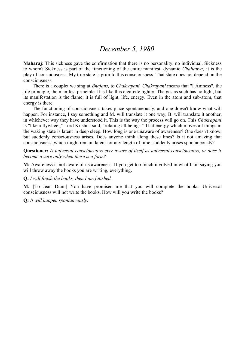# *December 5, 1980*

**Maharaj:** This sickness gave the confirmation that there is no personality, no individual. Sickness to whom? Sickness is part of the functioning of the entire manifest, dynamic *Chaitanya;* it is the play of consciousness. My true state is prior to this consciousness. That state does not depend on the consciousness.

There is a couplet we sing at *Bhajans,* to *Chakrapani. Chakrapani* means that "I Amness", the life principle, the manifest principle. It is like this cigarette lighter. The gas as such has no light, but its manifestation is the flame; it is full of light, life, energy. Even in the atom and sub-atom, that energy is there.

The functioning of consciousness takes place spontaneously, and one doesn't know what will happen. For instance, I say something and M. will translate it one way, B. will translate it another, in whichever way they have understood it. This is the way the process will go on. This *Chakrapani* is "like a flywheel," Lord Krishna said, "rotating all beings." That energy which moves all things in the waking state is latent in deep sleep. How long is one unaware of awareness? One doesn't know, but suddenly consciousness arises. Does anyone think along these lines? Is it not amazing that consciousness, which might remain latent for any length of time, suddenly arises spontaneously?

**Questioner:** *Is universal consciousness ever aware of itself as universal consciousness, or does it become aware only when there is a form?*

**M:** Awareness is not aware of its awareness. If you get too much involved in what I am saying you will throw away the books you are writing, everything.

**Q:** *I will finish the books, then I am finished.*

**M:** [To Jean Dunn] You have promised me that you will complete the books. Universal consciousness will not write the books. How will you write the books?

**Q:** *It will happen spontaneously.*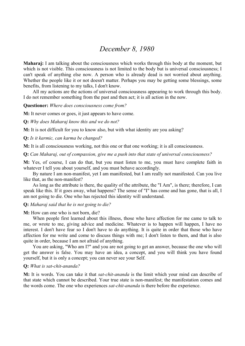# *December 8, 1980*

**Maharaj:** I am talking about the consciousness which works through this body at the moment, but which is not visible. This consciousness is not limited to the body but is universal consciousness; I can't speak of anything else now. A person who is already dead is not worried about anything. Whether the people like it or not doesn't matter. Perhaps you may be getting some blessings, some benefits, from listening to my talks, I don't know.

All my actions are the actions of universal consciousness appearing to work through this body. I do not remember something from the past and then act; it is all action in the now.

**Questioner:** *Where does consciousness come from?*

**M:** It never comes or goes, it just appears to have come.

**Q:** *Why does Maharaj know this and we do not?*

**M:** It is not difficult for you to know also, but with what identity are you asking?

### **Q:** *Is it karmic, can karma be changed?*

**M:** It is all consciousness working, not this one or that one working; it is all consciousness.

**Q:** *Can Maharaj, out of compassion, give me a push into that state of universal consciousness?*

**M:** Yes, of course, I can do that, but you must listen to me, you must have complete faith in whatever I tell you about yourself, and you must behave accordingly.

By nature I am non-manifest, yet I am manifested, but I am really not manifested. Can you live like that, as the non-manifest?

As long as the attribute is there, the quality of the attribute, the "I Am", is there; therefore, I can speak like this. If it goes away, what happens? The sense of "I" has come and has gone, that is all, I am not going to die. One who has rejected this identity will understand.

### **Q:** *Maharaj said that he is not going to die?*

**M:** How can one who is not born, die?

When people first learned about this illness, those who have affection for me came to talk to me, or wrote to me, giving advice and medicine. Whatever is to happen will happen, I have no interest. I don't have fear so I don't have to do anything. It is quite in order that those who have affection for me write and come to discuss things with me; I don't listen to them, and that is also quite in order, because I am not afraid of anything.

You are asking, "Who am I?" and you are not going to get an answer, because the one who will get the answer is false. You may have an idea, a concept, and you will think you have found yourself, but it is only a concept; you can never see your Self.

#### **Q:** *What is sat-chit-ananda?*

**M:** It is words. You can take it that *sat-chit-ananda* is the limit which your mind can describe of that state which cannot be described. Your true state is non-manifest; the manifestation comes and the words come. The one who experiences *sat-chit-ananda* is there before the experience.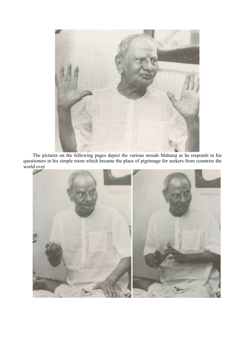

The pictures on the following pages depict the various moods Maharaj as he responds to his questioners in his simple room which became the place of pigrimage for seekers from countries the world over.

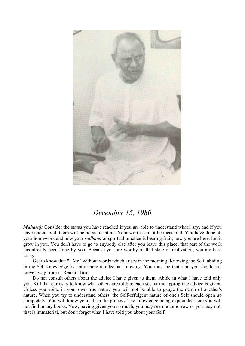

# *December 15, 1980*

*Maharaj:* Consider the status you have reached if you are able to understand what I say, and if you have understood, there will be no status at all. Your worth cannot be measured. You have done all your homework and now your *sadhana* or spiritual practice is bearing fruit; now you are here. Let it grow in you. You don't have to go to anybody else after you leave this place; that part of the work has already been done by you. Because you are worthy of that state of realization, you are here today.

Get to know that "I Am" without words which arises in the morning. Knowing the Self, abiding in the Self-knowledge, is not a mere intellectual knowing. You must be that, and you should not move away from it. Remain firm.

Do not consult others about the advice I have given to them. Abide in what I have told only you. Kill that curiosity to know what others are told; to each seeker the appropriate advice is given. Unless you abide in your own true nature you will not be able to gauge the depth of another's nature. When you try to understand others, the Self-effulgent nature of one's Self should open up completely. You will know yourself in the process. The knowledge being expounded here you will not find in any books. Now, having given you so much, you may see me tomorrow or you may not, that is immaterial, but don't forget what I have told you about your Self.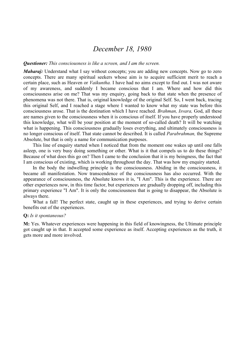# *December 18, 1980*

### *Questioner: This consciousness is like a screen, and I am the screen.*

*Maharaj:* Understand what I say without concepts; you are adding new concepts. Now go to zero concepts. There are many spiritual seekers whose aim is to acquire sufficient merit to reach a certain place, such as Heaven or *Vaikuntha.* I have had no aims except to find out. I was not aware of my awareness, and suddenly I became conscious that I am. Where and how did this consciousness arise on me? That was my enquiry, going back to that state when the presence of phenomena was not there. That is, original knowledge of the original Self. So, I went back, tracing this original Self, and I reached a stage where I wanted to know what my state was before this consciousness arose. That is the destination which I have reached. *Brahman, Isvara,* God, all these are names given to the consciousness when it is conscious of itself. If you have properly understood this knowledge, what will be your position at the moment of so-called death? It will be watching what is happening. This consciousness gradually loses everything, and ultimately consciousness is no longer conscious of itself. That state cannot be described. It is called *Parabrahman,* the Supreme Absolute, but that is only a name for communication purposes.

This line of enquiry started when I noticed that from the moment one wakes up until one falls asleep, one is very busy doing something or other. What is it that compels us to do these things? Because of what does this go on? Then I came to the conclusion that it is my beingness, the fact that I am conscious of existing, which is working throughout the day. That was how my enquiry started.

In the body the indwelling principle is the consciousness. Abiding in the consciousness, it became all manifestation. Now transcendence of the consciousness has also occurred. With the appearance of consciousness, the Absolute knows it is, "I Am". This is the experience. There are other experiences now, in this time factor, but experiences are gradually dropping off, including this primary experience "I Am". It is only the consciousness that is going to disappear, the Absolute is always there.

What a fall! The perfect state, caught up in these experiences, and trying to derive certain benefits out of the experiences.

#### **Q:** *Is it spontaneous?*

**M:** Yes. Whatever experiences were happening in this field of knowingness, the Ultimate principle got caught up in that. It accepted some experience as itself. Accepting experiences as the truth, it gets more and more involved.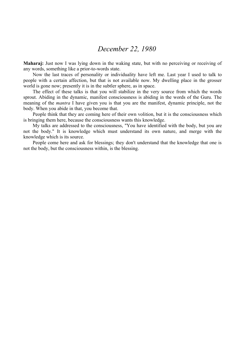## *December 22, 1980*

**Maharaj:** Just now I was lying down in the waking state, but with no perceiving or receiving of any words, something like a prior-to-words state.

Now the last traces of personality or individuality have left me. Last year I used to talk to people with a certain affection, but that is not available now. My dwelling place in the grosser world is gone now; presently it is in the subtler sphere, as in space.

The effect of these talks is that you will stabilize in the very source from which the words sprout. Abiding in the dynamic, manifest consciousness is abiding in the words of the Guru. The meaning of the *mantra* I have given you is that you are the manifest, dynamic principle, not the body. When you abide in that, you become that.

People think that they are coming here of their own volition, but it is the consciousness which is bringing them here, because the consciousness wants this knowledge.

My talks are addressed to the consciousness, "You have identified with the body, but you are not the body." It is knowledge which must understand its own nature, and merge with the knowledge which is its source.

People come here and ask for blessings; they don't understand that the knowledge that one is not the body, but the consciousness within, is the blessing.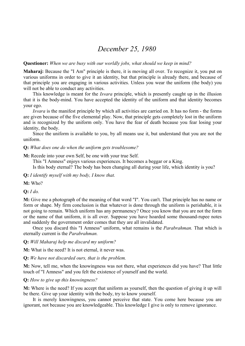# *December 25, 1980*

### **Questioner:** *When we are busy with our worldly jobs, what should we keep in mind?*

**Maharaj:** Because the "I Am" principle is there, it is moving all over. To recognize it, you put on various uniforms in order to give it an identity, but that principle is already there, and because of that principle you are engaging in various activities. Unless you wear the uniform (the body) you will not be able to conduct any activities.

This knowledge is meant for the *Isvara* principle, which is presently caught up in the illusion that it is the body-mind. You have accepted the identity of the uniform and that identity becomes your ego.

*Isvara* is the manifest principle by which all activities are carried on. It has no form - the forms are given because of the five elemental play. Now, that principle gets completely lost in the uniform and is recognized by the uniform only. You have the fear of death because you fear losing your identity, the body.

Since the uniform is available to you, by all means use it, but understand that you are not the uniform.

### **Q:** *What does one do when the uniform gets troublesome?*

**M:** Recede into your own Self, be one with your true Self.

This "I Amness" enjoys various experiences. It becomes a beggar or a King. Is this body eternal? The body has been changing all during your life, which identity is you?

**Q:** *I identify myself with my body, I know that.*

**M:** Who?

**Q:** *I do.*

**M:** Give me a photograph of the meaning of that word "I". You can't. That principle has no name or form or shape. My firm conclusion is that whatever is done through the uniform is perishable, it is not going to remain. Which uniform has any permanency? Once you know that you are not the form or the name of that uniform, it is all over. Suppose you have hoarded some thousand-rupee notes and suddenly the government order comes that they are all invalidated.

Once you discard this "I Amness" uniform, what remains is the *Parabrahman.* That which is eternally current is the *Parabrahman.*

**Q:** *Will Maharaj help me discard my uniform?*

**M:** What is the need? It is not eternal, it never was.

**Q:** *We have not discarded ours, that is the problem.*

**M:** Now, tell me, when the knowingness was not there, what experiences did you have? That little touch of "I Amness" and you felt the existence of yourself and the world.

### **Q:** *How to give up this knowingness?*

**M:** Where is the need? If you accept that uniform as yourself, then the question of giving it up will be there. Give up your identity with the body, try to know yourself.

It is merely knowingness, you cannot perceive that state. You come here because you are ignorant, not because you are knowledgeable. This knowledge I give is only to remove ignorance.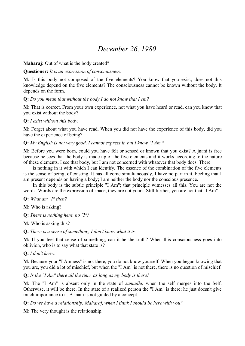# *December 26, 1980*

**Maharaj:** Out of what is the body created?

**Questioner:** *It is an expression of consciousness.*

**M:** Is this body not composed of the five elements? You know that you exist; does not this knowledge depend on the five elements? The consciousness cannot be known without the body. It depends on the form.

**Q:** *Do you mean that without the body I do not know that I cm?*

**M:** That is correct. From your own experience, not what you have heard or read, can you know that you exist without the body?

**Q:** *I exist without this body.*

**M:** Forget about what you have read. When you did not have the experience of this body, did you have the experience of being?

**Q:** *My English is not very good, I cannot express it, but I know "I Am."*

**M:** Before you were born, could you have felt or sensed or known that you exist? A jnani is free because he sees that the body is made up of the five elements and it works according to the nature of these elements. I see that body, but I am not concerned with whatever that body does. There

is nothing in it with which I can identify. The essence of the combination of the five elements is the sense of being, of existing. It has all come simultaneously, I have no part in it. Feeling that I am present depends on having a body; I am neither the body nor the conscious presence.

In this body is the subtle principle "I Am"; that principle witnesses all this. You are not the words. Words are the expression of space, they are not yours. Still further, you are not that "I Am".

**Q:** *What am "I" then?*

**M:** Who is asking?

**Q:** *There is nothing here, no "I"?*

**M:** Who is asking this?

**Q:** *There is a sense of something, I don't know what it is.*

**M:** If you feel that sense of something, can it be the truth? When this consciousness goes into oblivion, who is to say what that state is?

**Q:** *I don't know.*

**M:** Because your "I Amness" is not there, you do not know yourself. When you began knowing that you are, you did a lot of mischief, but when the "I Am" is not there, there is no question of mischief.

**Q:** *Is the "I Am" there all the time, as long as my body is there?*

**M:** The "I Am" is absent only in the state of *samadhi,* when the self merges into the Self. Otherwise, it will be there. In the state of a realized person the "I Am" is there; he just doesn't give much importance to it. A jnani is not guided by a concept.

**Q:** *Do we have a relationship, Maharaj, when I think I should be here with you?*

**M:** The very thought is the relationship.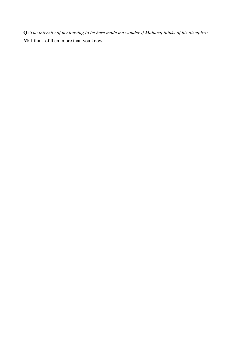**Q:** *The intensity of my longing to be here made me wonder if Maharaj thinks of his disciples?* **M:** I think of them more than you know.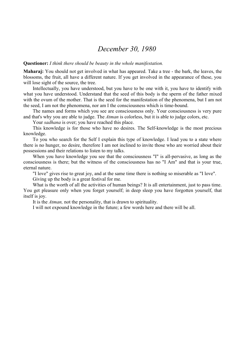## *December 30, 1980*

**Questioner:** *I think there should be beauty in the whole manifestation.*

**Maharaj:** You should not get involved in what has appeared. Take a tree - the bark, the leaves, the blossoms, the fruit, all have a different nature. If you get involved in the appearance of these, you will lose sight of the source, the tree.

Intellectually, you have understood, but you have to be one with it, you have to identify with what you have understood. Understand that the seed of this body is the sperm of the father mixed with the ovum of the mother. That is the seed for the manifestation of the phenomena, but I am not the seed, I am not the phenomena, nor am I the consciousness which is time-bound.

The names and forms which you see are consciousness only. Your consciousness is very pure and that's why you are able to judge. The *Atman* is colorless, but it is able to judge colors, etc.

Your *sadhana* is over; you have reached this place.

This knowledge is for those who have no desires. The Self-knowledge is the most precious knowledge.

To you who search for the Self I explain this type of knowledge. I lead you to a state where there is no hunger, no desire, therefore I am not inclined to invite those who are worried about their possessions and their relations to listen to my talks.

When you have knowledge you see that the consciousness "I" is all-pervasive, as long as the consciousness is there; but the witness of the consciousness has no "I Am" and that is your true, eternal nature.

"I love" gives rise to great joy, and at the same time there is nothing so miserable as "I love". Giving up the body is a great festival for me.

What is the worth of all the activities of human beings? It is all entertainment, just to pass time. You get pleasure only when you forget yourself; in deep sleep you have forgotten yourself, that itself is joy.

It is the *Atman,* not the personality, that is drawn to spirituality.

I will not expound knowledge in the future; a few words here and there will be all.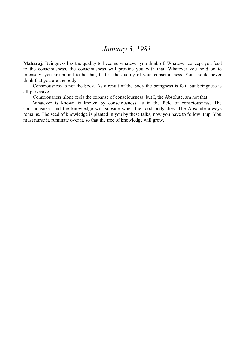# *January 3, 1981*

**Maharaj:** Beingness has the quality to become whatever you think of. Whatever concept you feed to the consciousness, the consciousness will provide you with that. Whatever you hold on to intensely, you are bound to be that, that is the quality of your consciousness. You should never think that you are the body.

Consciousness is not the body. As a result of the body the beingness is felt, but beingness is all-pervasive.

Consciousness alone feels the expanse of consciousness, but I, the Absolute, am not that.

Whatever is known is known by consciousness, is in the field of consciousness. The consciousness and the knowledge will subside when the food body dies. The Absolute always remains. The seed of knowledge is planted in you by these talks; now you have to follow it up. You must nurse it, ruminate over it, so that the tree of knowledge will grow.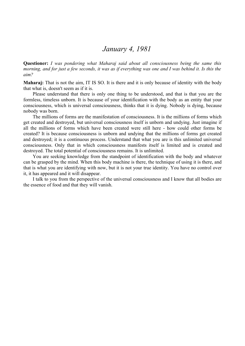# *January 4, 1981*

**Questioner:** *I was pondering what Maharaj said about all consciousness being the same this* morning, and for just a few seconds, it was as if everything was one and I was behind it. Is this the *aim?*

**Maharaj:** That is not the aim, IT IS SO. It is there and it is only because of identity with the body that what is, doesn't seem as if it is.

Please understand that there is only one thing to be understood, and that is that you are the formless, timeless unborn. It is because of your identification with the body as an entity that your consciousness, which is universal consciousness, thinks that it is dying. Nobody is dying, because nobody was born.

The millions of forms are the manifestation of consciousness. It is the millions of forms which get created and destroyed, but universal consciousness itself is unborn and undying. Just imagine if all the millions of forms which have been created were still here - how could other forms be created? It is because consciousness is unborn and undying that the millions of forms get created and destroyed; it is a continuous process. Understand that what you are is this unlimited universal consciousness. Only that in which consciousness manifests itself is limited and is created and destroyed. The total potential of consciousness remains. It is unlimited.

You are seeking knowledge from the standpoint of identification with the body and whatever can be grasped by the mind. When this body machine is there, the technique of using it is there, and that is what you are identifying with now, but it is not your true identity. You have no control over it, it has appeared and it will disappear.

I talk to you from the perspective of the universal consciousness and I know that all bodies are the essence of food and that they will vanish.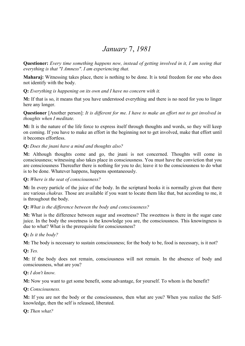# *January* 7, *1981*

**Questioner:** *Every time something happens now, instead of getting involved in it, I am seeing that everything is that "I Amness". I am experiencing that.*

**Maharaj:** Witnessing takes place, there is nothing to be done. It is total freedom for one who does not identify with the body.

**Q:** *Everything is happening on its own and I have no concern with it.*

**M:** If that is so, it means that you have understood everything and there is no need for you to linger here any longer.

**Questioner** [Another person]: *It is different for me. I have to make an effort not to get involved in thoughts when I meditate.*

**M:** It is the nature of the life force to express itself through thoughts and words, so they will keep on coming. If you have to make an effort in the beginning not to get involved, make that effort until it becomes effortless.

### **Q:** *Does the jnani have a mind and thoughts also?*

**M:** Although thoughts come and go, the jnani is not concerned. Thoughts will come in consciousness; witnessing also takes place in consciousness. You must have the conviction that you are consciousness Thereafter there is nothing for you to do; leave it to the consciousness to do what is to be done. Whatever happens, happens spontaneously.

### **Q:** *Where is the seat of consciousness?*

**M:** In every particle of the juice of the body. In the scriptural books it is normally given that there are various *chakras.* Those are available if you want to locate them like that, but according to me, it is throughout the body.

### **Q:** *What is the difference between the body and consciousness?*

**M:** What is the difference between sugar and sweetness? The sweetness is there in the sugar cane juice. In the body the sweetness is the knowledge you are, the consciousness. This knowingness is due to what? What is the prerequisite for consciousness?

### **Q:** *Is it the body?*

**M:** The body is necessary to sustain consciousness; for the body to be, food is necessary, is it not?

**Q:** *Yes.*

**M:** If the body does not remain, consciousness will not remain. In the absence of body and consciousness, what are you?

### **Q:** *I don't know.*

**M:** Now you want to get some benefit, some advantage, for yourself. To whom is the benefit?

**Q:** *Consciousness.*

**M:** If you are not the body or the consciousness, then what are you? When you realize the Selfknowledge, then the self is released, liberated.

### **Q:** *Then what?*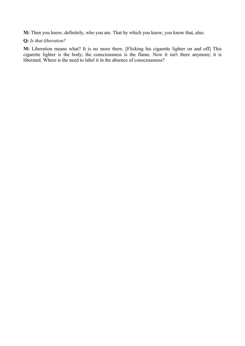**M:** Then you know, definitely, who you are. That by which you know, you know that, also.

### **Q:** *Is that liberation?*

**M:** Liberation means what? It is no more there. [Flicking his cigarette lighter on and off] This cigarette lighter is the body; the consciousness is the flame. Now it isn't there anymore; it is liberated. Where is the need to label it in the absence of consciousness?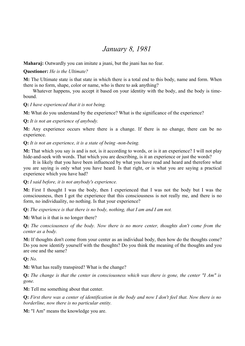# *January 8, 1981*

**Maharaj:** Outwardly you can imitate a jnani, but the jnani has no fear.

### **Questioner:** *He is the Ultimate?*

**M:** The Ultimate state is that state in which there is a total end to this body, name and form. When there is no form, shape, color or name, who is there to ask anything?

Whatever happens, you accept it based on your identity with the body, and the body is timebound.

**Q:** *I have experienced that it is not being.*

**M:** What do you understand by the experience? What is the significance of the experience?

**Q:** *It is not an experience of anybody.*

**M:** Any experience occurs where there is a change. If there is no change, there can be no experience.

### **Q:** *It is not an experience, it is a state of being -non-being.*

**M:** That which you say is and is not, is it according to words, or is it an experience? I will not play hide-and-seek with words. That which you are describing, is it an experience or just the words?

It is likely that you have been influenced by what you have read and heard and therefore what you are saying is only what you have heard. Is that right, or is what you are saying a practical experience which you have had?

### **Q:** *I said before, it is not anybody's experience.*

**M:** First I thought I was the body, then I experienced that I was not the body but I was the consciousness, then I got the experience that this consciousness is not really me, and there is no form, no individuality, no nothing. Is that your experience?

**Q:** *The experience is that there is no body, nothing, that I am and I am not.*

**M:** What is it that is no longer there?

**Q:** *The consciousness of the body. Now there is no more center, thoughts don't come from the center as a body.*

**M:** If thoughts don't come from your center as an individual body, then how do the thoughts come? Do you now identify yourself with the thoughts? Do you think the meaning of the thoughts and you are one and the same?

**Q:** *No.*

**M:** What has really transpired? What is the change?

Q: The change is that the center in consciousness which was there is gone, the center  $"I Am"$  is *gone.*

**M:** Tell me something about that center.

 $Q$ : First there was a center of identification in the body and now I don't feel that. Now there is no *borderline, now there is no particular entity.*

**M:** "I Am" means the knowledge you are.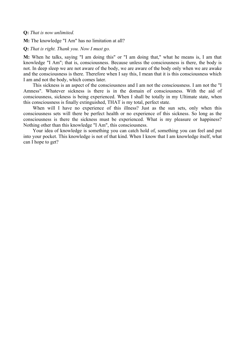### **Q:** *That is now unlimited.*

**M:** The knowledge "I Am" has no limitation at all?

**Q:** *That is right. Thank you. Now I must go.*

**M:** When he talks, saying "I am doing this" or "I am doing that," what he means is, I am that knowledge "I Am"; that is, consciousness. Because unless the consciousness is there, the body is not. In deep sleep we are not aware of the body, we are aware of the body only when we are awake and the consciousness is there. Therefore when I say this, I mean that it is this consciousness which I am and not the body, which comes later.

This sickness is an aspect of the consciousness and I am not the consciousness. I am not the "I Amness". Whatever sickness is there is in the domain of consciousness. With the aid of consciousness, sickness is being experienced. When I shall be totally in my Ultimate state, when this consciousness is finally extinguished, THAT is my total, perfect state.

When will I have no experience of this illness? Just as the sun sets, only when this consciousness sets will there be perfect health or no experience of this sickness. So long as the consciousness is there the sickness must be experienced. What is my pleasure or happiness? Nothing other than this knowledge "I Am", this consciousness.

Your idea of knowledge is something you can catch hold of, something you can feel and put into your pocket. This knowledge is not of that kind. When I know that I am knowledge itself, what can I hope to get?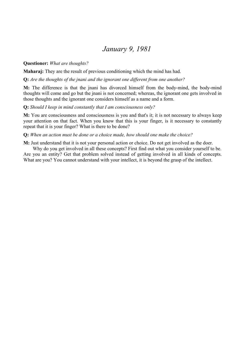# *January 9, 1981*

### **Questioner:** *What are thoughts?*

**Maharaj:** They are the result of previous conditioning which the mind has had.

**Q:** *Are the thoughts of the jnani and the ignorant one different from one another?*

**M:** The difference is that the jnani has divorced himself from the body-mind, the body-mind thoughts will come and go but the jnani is not concerned; whereas, the ignorant one gets involved in those thoughts and the ignorant one considers himself as a name and a form.

### **Q:** *Should I keep in mind constantly that I am consciousness only?*

**M:** You are consciousness and consciousness is you and that's it; it is not necessary to always keep your attention on that fact. When you know that this is your finger, is it necessary to constantly repeat that it is your finger? What is there to be done?

### **Q:** *When an action must be done or a choice made, how should one make the choice?*

**M:** Just understand that it is not your personal action or choice. Do not get involved as the doer.

Why do you get involved in all these concepts? First find out what you consider yourself to be. Are you an entity? Get that problem solved instead of getting involved in all kinds of concepts. What are you? You cannot understand with your intellect, it is beyond the grasp of the intellect.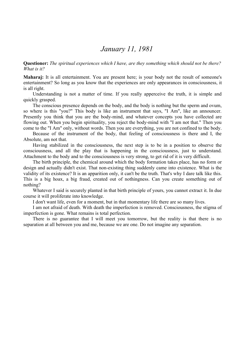# *January 11, 1981*

**Questioner:** *The spiritual experiences which I have, are they something which should not be there? What is it?*

**Maharaj:** It is all entertainment. You are present here; is your body not the result of someone's entertainment? So long as you know that the experiences are only appearances in consciousness, it is all right.

Understanding is not a matter of time. If you really apperceive the truth, it is simple and quickly grasped.

The conscious presence depends on the body, and the body is nothing but the sperm and ovum, so where is this "you?" This body is like an instrument that says, "I Am", like an announcer. Presently you think that you are the body-mind, and whatever concepts you have collected are flowing out. When you begin spirituality, you reject the body-mind with "I am not that." Then you come to the "I Am" only, without words. Then you are everything, you are not confined to the body.

Because of the instrument of the body, that feeling of consciousness is there and I, the Absolute, am not that.

Having stabilized in the consciousness, the next step is to be in a position to observe the consciousness, and all the play that is happening in the consciousness, just to understand. Attachment to the body and to the consciousness is very strong, to get rid of it is very difficult.

The birth principle, the chemical around which the body formation takes place, has no form or design and actually didn't exist. That non-existing thing suddenly came into existence. What is the validity of its existence? It is an apparition only, it can't be the truth. That's why I dare talk like this. This is a big hoax, a big fraud, created out of nothingness. Can you create something out of nothing?

Whatever I said is securely planted in that birth principle of yours, you cannot extract it. In due course it will proliferate into knowledge.

I don't want life, even for a moment, but in that momentary life there are so many lives.

I am not afraid of death. With death the imperfection is removed. Consciousness, the stigma of imperfection is gone. What remains is total perfection.

There is no guarantee that I will meet you tomorrow, but the reality is that there is no separation at all between you and me, because we are one. Do not imagine any separation.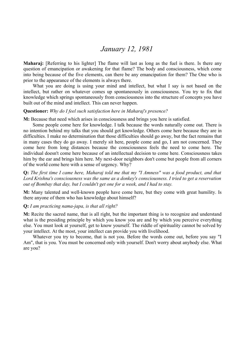# *January 12, 1981*

**Maharaj:** [Referring to his lighter] The flame will last as long as the fuel is there. Is there any question of emancipation or awakening for that flame? The body and consciousness, which come into being because of the five elements, can there be any emancipation for them? The One who is prior to the appearance of the elements is always there.

What you are doing is using your mind and intellect, but what I say is not based on the intellect, but rather on whatever comes up spontaneously in consciousness. You try to fix that knowledge which springs spontaneously from consciousness into the structure of concepts you have built out of the mind and intellect. This can never happen.

### **Questioner:** *Why do I feel such satisfaction here in Maharaj's presence?*

**M:** Because that need which arises in consciousness and brings you here is satisfied.

Some people come here for knowledge. I talk because the words naturally come out. There is no intention behind my talks that you should get knowledge. Others come here because they are in difficulties. I make no determination that those difficulties should go away, but the fact remains that in many cases they do go away. I merely sit here, people come and go, I am not concerned. They come here from long distances because the consciousness feels the need to come here. The individual doesn't come here because of an intellectual decision to come here. Consciousness takes him by the ear and brings him here. My next-door neighbors don't come but people from all corners of the world come here with a sense of urgency. Why?

Q: The first time I came here, Maharaj told me that my "I Amness" was a food product, and that *Lord Krishna's consciousness was the same as a donkey's consciousness. I tried to get a reservation out of Bombay that day, but I couldn't get one for a week, and I had to stay.*

**M:** Many talented and well-known people have come here, but they come with great humility. Is there anyone of them who has knowledge about himself?

### **Q:** *I am practicing nama-japa, is that all right?*

**M:** Recite the sacred name, that is all right, but the important thing is to recognize and understand what is the presiding principle by which you know you are and by which you perceive everything else. You must look at yourself, get to know yourself. The riddle of spirituality cannot be solved by your intellect. At the most, your intellect can provide you with livelihood.

Whatever you try to become, that is not you. Before the words come out, before you say "I Am", that is you. You must be concerned only with yourself. Don't worry about anybody else. What are you?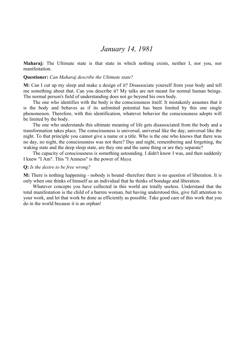## *January 14, 1981*

**Maharaj:** The Ultimate state is that state in which nothing exists, neither I, nor you, nor manifestation.

#### **Questioner:** *Can Maharaj describe the Ultimate state?*

**M:** Can I cut up my sleep and make a design of it? Disassociate yourself from your body and tell me something about that. Can you describe it? My talks are not meant for normal human beings. The normal person's field of understanding does not go beyond his own body.

The one who identifies with the body is the consciousness itself. It mistakenly assumes that it is the body and behaves as if its unlimited potential has been limited by this one single phenomenon. Therefore, with this identification, whatever behavior the consciousness adopts will be limited by the body.

The one who understands this ultimate meaning of life gets disassociated from the body and a transformation takes place. The consciousness is universal, universal like the day, universal like the night. To that principle you cannot give a name or a title. Who is the one who knows that there was no day, no night, the consciousness was not there? Day and night, remembering and forgetting, the waking state and the deep sleep state, are they one and the same thing or are they separate?

The capacity of consciousness is something astounding. I didn't know I was, and then suddenly I knew "I Am". This "I Amness" is the power of *Maya.*

## **Q:** *Is the desire to be free wrong?*

**M:** There is nothing happening - nobody is bound -therefore there is no question of liberation. It is only when one thinks of himself as an individual that he thinks of bondage and liberation.

Whatever concepts you have collected in this world are totally useless. Understand that the total manifestation is the child of a barren woman, but having understood this, give full attention to your work, and let that work be done as efficiently as possible. Take good care of this work that you do in the world because it is an orphan!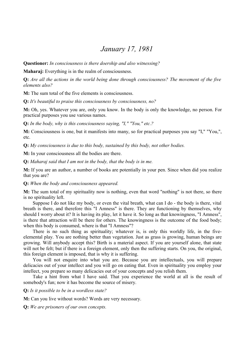# *January 17, 1981*

**Questioner:** *In consciousness is there doership and also witnessing?*

**Maharaj:** Everything is in the realm of consciousness.

**Q:** *Are all the actions in the world being done through consciousness? The movement of the five elements also?*

**M:** The sum total of the five elements is consciousness.

**Q:** *It's beautiful to praise this consciousness by consciousness, no?*

**M:** Oh, yes. Whatever you are, only you know. In the body is only the knowledge, no person. For practical purposes you use various names.

**Q:** *In the body, why is this consciousness saying, "I," "You," etc.?*

**M:** Consciousness is one, but it manifests into many, so for practical purposes you say "I," "You,", etc.

**Q:** *My consciousness is due to this body, sustained by this body, not other bodies.*

**M:** In your consciousness all the bodies are there.

**Q:** *Maharaj said that I am not in the body, that the body is in me.*

**M:** If you are an author, a number of books are potentially in your pen. Since when did you realize that you are?

### **Q:** *When the body and consciousness appeared.*

**M:** The sum total of my spirituality now is nothing, even that word "nothing" is not there, so there is no spirituality left.

Suppose I do not like my body, or even the vital breath, what can I do - the body is there, vital breath is there, and therefore this "I Amness" is there. They are functioning by themselves, why should I worry about it? It is having its play, let it have it. So long as that knowingness, "I Amness", is there that attraction will be there for others. The knowingness is the outcome of the food body; when this body is consumed, where is that "I Amness"?

There is no such thing as spirituality; whatever is, is only this worldly life, in the fiveelemental play. You are nothing better than vegetation. Just as grass is growing, human beings are growing. Will anybody accept this? Birth is a material aspect. If you are yourself alone, that state will not be felt; but if there is a foreign element, only then the suffering starts. On you, the original, this foreign element is imposed, that is why it is suffering.

You will not enquire into what you are. Because you are intellectuals, you will prepare delicacies out of your intellect and you will go on eating that. Even in spirituality you employ your intellect, you prepare so many delicacies out of your concepts and you relish them.

Take a hint from what I have said. That you experience the world at all is the result of somebody's fun; now it has become the source of misery.

**Q:** *Is it possible to be in a wordless state?*

**M:** Can you live without words? Words are very necessary.

**Q:** *We are prisoners of our own concepts.*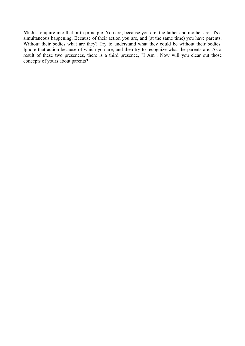**M:** Just enquire into that birth principle. You are; because you are, the father and mother are. It's a simultaneous happening. Because of their action you are, and (at the same time) you have parents. Without their bodies what are they? Try to understand what they could be without their bodies. Ignore that action because of which you are; and then try to recognize what the parents are. As a result of these two presences, there is a third presence, "I Am". Now will you clear out those concepts of yours about parents?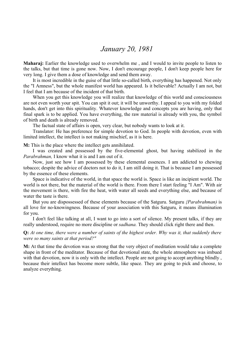# *January 20, 1981*

**Maharaj:** Earlier the knowledge used to overwhelm me , and I would to invite people to listen to the talks, but that time is gone now. Now, I don't encourage people, I don't keep people here for very long. I give them a dose of knowledge and send them away.

It is most incredible in the guise of that little so-called birth, everything has happened. Not only the "I Amness", but the whole manifest world has appeared. Is it believable? Actually I am not, but I feel that I am because of the incident of that birth.

When you get this knowledge you will realize that knowledge of this world and consciousness are not even worth your spit. You can spit it out; it will be unworthy. I appeal to you with my folded hands, don't get into this spirituality. Whatever knowledge and concepts you are having, only that final spark is to be applied. You have everything, the raw material is already with you, the symbol of birth and death is already removed.

The factual state of affairs is open, very clear, but nobody wants to look at it.

Translator: He has preference for simple devotion to God. In people with devotion, even with limited intellect, the intellect is not making mischief, as it is here.

**M:** This is the place where the intellect gets annihilated.

I was created and possessed by the five-elemental ghost, but having stabilized in the *Parabrahman,* I know what it is and I am out of it.

Now, just see how I am possessed by these elemental essences. I am addicted to chewing tobacco; despite the advice of doctors not to do it, I am still doing it. That is because I am possessed by the essence of these elements.

Space is indicative of the world, in that space the world is. Space is like an incipient world. The world is not there, but the material of the world is there. From there I start feeling "I Am". With air the movement is there, with fire the heat, with water all seeds and everything else, and because of water the taste is there.

But you are dispossessed of these elements because of the Satguru. Satguru *{Parabrahman)* is all love for no-knowingness. Because of your association with this Satguru, it means illumination for you.

I don't feel like talking at all, I want to go into a sort of silence. My present talks, if they are really understood, require no more discipline or *sadhana.* They should click right there and then.

## Q: At one time, there were a number of saints of the highest order. Why was it, that suddenly there *were so many saints at that period?"*

**M:** At that time the devotion was so strong that the very object of meditation would take a complete shape in front of the meditator. Because of that devotional state, the whole atmosphere was imbued with that devotion, now it is only with the intellect. People are not going to accept anything blindly, because their intellect has become more subtle, like space. They are going to pick and choose, to analyze everything.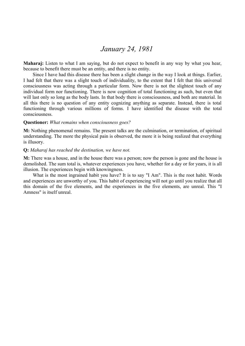# *January 24, 1981*

**Maharaj:** Listen to what I am saying, but do not expect to benefit in any way by what you hear, because to benefit there must be an entity, and there is no entity.

Since I have had this disease there has been a slight change in the way I look at things. Earlier, I had felt that there was a slight touch of individuality, to the extent that I felt that this universal consciousness was acting through a particular form. Now there is not the slightest touch of any individual form nor functioning. There is now cognition of total functioning as such, but even that will last only so long as the body lasts. In that body there is consciousness, and both are material. In all this there is no question of any entity cognizing anything as separate. Instead, there is total functioning through various millions of forms. I have identified the disease with the total consciousness.

#### **Questioner:** *What remains when consciousness goes?*

**M:** Nothing phenomenal remains. The present talks are the culmination, or termination, of spiritual understanding. The more the physical pain is observed, the more it is being realized that everything is illusory.

#### **Q:** *Maharaj has reached the destination, we have not.*

**M:** There was a house, and in the house there was a person; now the person is gone and the house is demolished. The sum total is, whatever experiences you have, whether for a day or for years, it is all illusion. The experiences begin with knowingness.

What is the most ingrained habit you have? It is to say "I Am". This is the root habit. Words and experiences are unworthy of you. This habit of experiencing will not go until you realize that all this domain of the five elements, and the experiences in the five elements, are unreal. This "I Amness" is itself unreal.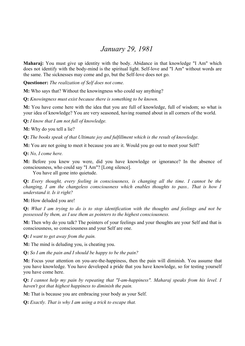# *January 29, 1981*

**Maharaj:** You must give up identity with the body. Abidance in that knowledge "I Am" which does not identify with the body-mind is the spiritual light. Self-love and "I Am" without words are the same. The sicknesses may come and go, but the Self-love does not go.

**Questioner:** *The realization of Self does not come.*

**M:** Who says that? Without the knowingness who could say anything?

**Q:** *Knowingness must exist because there is something to be known.*

**M:** You have come here with the idea that you are full of knowledge, full of wisdom; so what is your idea of knowledge? You are very seasoned, having roamed about in all corners of the world.

**Q:** *I know that I am not full of knowledge.*

**M:** Why do you tell a lie?

**Q:** *The books speak of that Ultimate joy and fulfillment which is the result of knowledge.*

**M:** You are not going to meet it because you are it. Would you go out to meet your Self?

**Q:** *No, I come here.*

**M:** Before you knew you were, did you have knowledge or ignorance? In the absence of consciousness, who could say "I Am"? [Long silence].

You have all gone into quietude.

**Q:** *Every thought, every feeling in consciousness, is changing all the time. I cannot be the changing, I am the changeless consciousness which enables thoughts to pass.. That is how I understand it. Is it right?*

**M:** How deluded you are!

Q: What I am trying to do is to stop identification with the thoughts and feelings and not be *possessed by them, as I use them as pointers to the highest consciousness.*

**M:** Then why do you talk? The pointers of your feelings and your thoughts are your Self and that is consciousness, so consciousness and your Self are one.

**Q:** *I want to get away from the pain.*

**M:** The mind is deluding you, is cheating you.

**Q:** *So I am the pain and I should be happy to be the pain?*

**M:** Focus your attention on you-are-the-happiness, then the pain will diminish. You assume that you have knowledge. You have developed a pride that you have knowledge, so for testing yourself you have come here.

**Q:** *I cannot help my pain by repeating that "I-am-happiness". Maharaj speaks from his level. I haven't got that highest happiness to diminish the pain.*

**M:** That is because you are embracing your body as your Self.

**Q:** *Exactly. That is why I am using a trick to escape that.*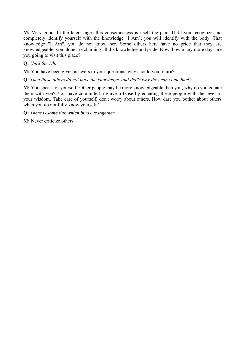**M:** Very good. In the later stages this consciousness is itself the pain. Until you recognize and completely identify yourself with the knowledge "I Am", you will identify with the body. That knowledge "I Am", you do not know her. Some others here have no pride that they are knowledgeable; you alone are claiming all the knowledge and pride. Now, how many more days are you going to visit this place?

**Q:** *Until the 7th.*

**M:** You have been given answers to your questions, why should you return?

**Q:** *Then these others do not have the knowledge, and that's why they can come back?*

**M:** You speak for yourself! Other people may be more knowledgeable than you, why do you equate them with you? You have committed a grave offense by equating these people with the level of your wisdom. Take care of yourself, don't worry about others. How dare you bother about others when you do not fully know yourself?

**Q:** *There is some link which binds us together.*

**M:** Never criticize others.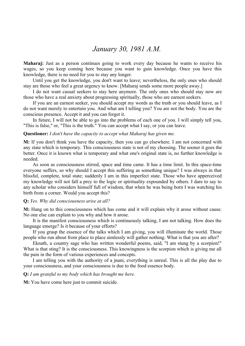# *January 30, 1981 A.M.*

**Maharaj:** Just as a person continues going to work every day because he wants to receive his wages, so you keep coming here because you want to gain knowledge. Once you have this knowledge, there is no need for you to stay any longer.

Until you get the knowledge, you don't want to leave; nevertheless, the only ones who should stay are those who feel a great urgency to know. [Maharaj sends some more people away.]

I do not want casual seekers to stay here anymore. The only ones who should stay now are those who have a real anxiety about progressing spiritually, those who are earnest seekers.

If you are an earnest seeker, you should accept my words as the truth or you should leave, as I do not want merely to entertain you. And what am I telling you? You are not the body. You are the conscious presence. Accept it and you can forget it.

In future, I will not be able to go into the problems of each one of you. I will simply tell you, "This is false," or, "This is the truth." You can accept what I say, or you can leave.

### **Questioner:** *I don't have the capacity to accept what Maharaj has given me.*

**M:** If you don't think you have the capacity, then you can go elsewhere. I am not concerned with any state which is temporary. This consciousness state is not of my choosing. The sooner it goes the better. Once it is known what is temporary and what one's original state is, no further knowledge is needed.

As soon as consciousness stirred, space and time came. It has a time limit. In this space-time everyone suffers, so why should I accept this suffering as something unique? I was always in that blissful, complete, total state; suddenly I am in this imperfect state. Those who have apperceived my knowledge will not fall a prey to the logic or spirituality expounded by others. I dare to say to any scholar who considers himself full of wisdom, that when he was being born I was watching his birth from a corner. Would you accept this?

### **Q:** *Yes. Why did consciousness arise at all?*

**M:** Hang on to this consciousness which has come and it will explain why it arose without cause. No one else can explain to you why and how it arose.

It is the manifest consciousness which is continuously talking, I am not talking. How does the language emerge? Is it because of your efforts?

If you grasp the essence of the talks which I am giving, you will illuminate the world. Those people who run about from place to place aimlessly will gather nothing. What is that you are after?

Eknath, a country sage who has written wonderful poems, said, "I am stung by a scorpion!" What is that sting? It is the consciousness. This knowingness is the scorpion which is giving me all the pain in the form of various experiences and concepts.

I am telling you with the authority of a jnani, everything is unreal. This is all the play due to your consciousness, and your consciousness is due to the food essence body.

### **Q:** *I am grateful to my body which has brought me here.*

**M:** You have come here just to commit suicide.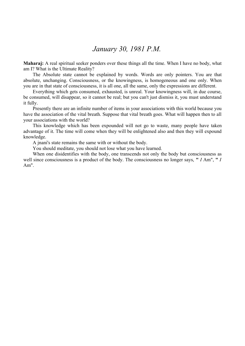# *January 30, 1981 P.M.*

**Maharaj:** A real spiritual seeker ponders over these things all the time. When I have no body, what am I? What is the Ultimate Reality?

The Absolute state cannot be explained by words. Words are only pointers. You are that absolute, unchanging. Consciousness, or the knowingness, is homogeneous and one only. When you are in that state of consciousness, it is all one, all the same, only the expressions are different.

Everything which gets consumed, exhausted, is unreal. Your knowingness will, in due course, be consumed, will disappear, so it cannot be real; but you can't just dismiss it, you must understand it fully.

Presently there are an infinite number of items in your associations with this world because you have the association of the vital breath. Suppose that vital breath goes. What will happen then to all your associations with the world?

This knowledge which has been expounded will not go to waste, many people have taken advantage of it. The time will come when they will be enlightened also and then they will expound knowledge.

A jnani's state remains the same with or without the body.

You should meditate, you should not lose what you have learned.

When one disidentifies with the body, one transcends not only the body but consciousness as well since consciousness is a product of the body. The consciousness no longer says, **"** *I* Am", **"** *I* Am".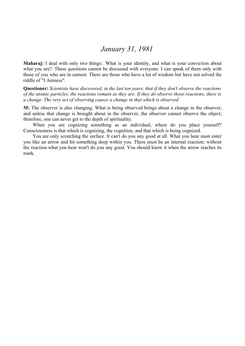# *January 31, 1981*

**Maharaj:** I deal with only two things:. What is your identity, and what is your conviction about what you are?. These questions cannot be discussed with everyone. I can speak of them only with those of you who are in earnest. There are those who have a lot of wisdom but have not solved the riddle of "I Amness".

**Questioner:** *Scientists have discovered, in the last ten years, that if they don't observe the reactions of the atomic particles, the reactions remain as they are. If they do observe those reactions, there is a change. The very act of observing causes a change in that which is observed.*

**M:** The observer is also changing. What is being observed brings about a change in the observer, and unless that change is brought about in the observer, the observer cannot observe the object; therefore, one can never get to the depth of spirituality.

When you are cognizing something as an individual, where do you place yourself? Consciousness is that which is cognizing, the cognition, and that which is being cognized.

You are only scratching the surface. It can't do you any good at all. What you hear must enter you like an arrow and hit something deep within you. There must be an internal reaction; without the reaction what you hear won't do you any good. You should know it when the arrow reaches its mark.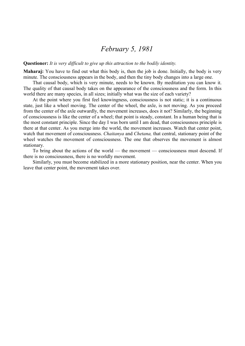# *February 5, 1981*

#### **Questioner:** *It is very difficult to give up this attraction to the bodily identity.*

**Maharaj:** You have to find out what this body is, then the job is done. Initially, the body is very minute. The consciousness appears in the body, and then the tiny body changes into a large one.

That causal body, which is very minute, needs to be known. By meditation you can know it. The quality of that causal body takes on the appearance of the consciousness and the form. In this world there are many species, in all sizes; initially what was the size of each variety?

At the point where you first feel knowingness, consciousness is not static; it is a continuous state, just like a wheel moving. The center of the wheel, the axle, is not moving. As you proceed from the center of the axle outwardly, the movement increases, does it not? Similarly, the beginning of consciousness is like the center of a wheel; that point is steady, constant. In a human being that is the most constant principle. Since the day I was born until I am dead, that consciousness principle is there at that center. As you merge into the world, the movement increases. Watch that center point, watch that movement of consciousness. *Chaitanya* and *Chetana,* that central, stationary point of the wheel watches the movement of consciousness. The one that observes the movement is almost stationary.

To bring about the actions of the world — the movement — consciousness must descend. If there is no consciousness, there is no worldly movement.

Similarly, you must become stabilized in a more stationary position, near the center. When you leave that center point, the movement takes over.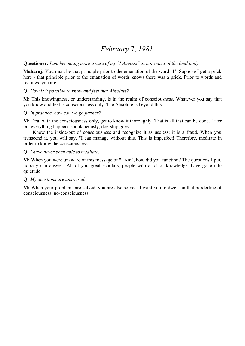# *February* 7, *1981*

**Questioner:** *I am becoming more aware of my "I Amness" as a product of the food body.*

**Maharaj:** You must be that principle prior to the emanation of the word "I". Suppose I get a prick here - that principle prior to the emanation of words knows there was a prick. Prior to words and feelings, you are.

## **Q:** *How is it possible to know and feel that Absolute?*

**M:** This knowingness, or understanding, is in the realm of consciousness. Whatever you say that you know and feel is consciousness only. The Absolute is beyond this.

## **Q:** *In practice, how can we go further?*

**M:** Deal with the consciousness only, get to know it thoroughly. That is all that can be done. Later on, everything happens spontaneously, doership goes.

Know the inside-out of consciousness and recognize it as useless; it is a fraud. When you transcend it, you will say, "I can manage without this. This is imperfect! Therefore, meditate in order to know the consciousness.

## **Q:** *I have never been able to meditate.*

**M:** When you were unaware of this message of "I Am", how did you function? The questions I put, nobody can answer. All of you great scholars, people with a lot of knowledge, have gone into quietude.

### **Q:** *My questions are answered.*

**M:** When your problems are solved, you are also solved. I want you to dwell on that borderline of consciousness, no-consciousness.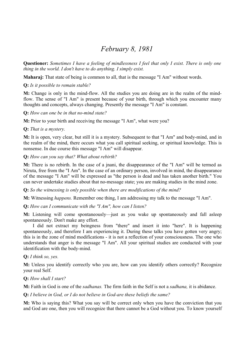# *February 8, 1981*

**Questioner:** *Sometimes I have a feeling of mindlessness I feel that only I exist. There is only one thing in the world. I don't have to do anything. I simply exist.*

**Maharaj:** That state of being is common to all, that is the message "I Am" without words.

## **Q:** *Is it possible to remain stable?*

**M:** Change is only in the mind-flow. All the studies you are doing are in the realm of the mindflow. The sense of "I Am" is present because of your birth, through which you encounter many thoughts and concepts, always changing. Presently the message "I Am" is constant.

### **Q:** *How can one be in that no-mind state?*

**M:** Prior to your birth and receiving the message "I Am", what were you?

### **Q:** *That is a mystery.*

**M:** It is open, very clear, but still it is a mystery. Subsequent to that "I Am" and body-mind, and in the realm of the mind, there occurs what you call spiritual seeking, or spiritual knowledge. This is nonsense. In due course this message "I Am" will disappear.

### **Q:** *How can you say that? What about rebirth?*

**M:** There is no rebirth. In the case of a jnani, the disappearance of the "I Am" will be termed as Niruta, free from the "I Am". In the case of an ordinary person, involved in mind, the disappearance of the message "I Am" will be expressed as "the person is dead and has taken another birth." You can never undertake studies about that no-message state; you are making studies in the mind zone.

**Q:** *So the witnessing is only possible when there are modifications of the mind?*

**M:** Witnessing *happens.* Remember one thing, I am addressing my talk to the message "I Am".

## **Q:** *How can I communicate with the "I Am", how can I listen?*

**M:** Listening will come spontaneously—just as you wake up spontaneously and fall asleep spontaneously. Don't make any effort.

I did not extract my beingness from "there" and insert it into "here". It is happening spontaneously, and therefore I am experiencing it. During these talks you have gotten very angry; this is in the zone of mind modifications - it is not a reflection of your consciousness. The one who understands that anger is the message "I Am". All your spiritual studies are conducted with your identification with the body-mind.

## **Q:** *I think so, yes.*

**M:** Unless you identify correctly who you are, how can you identify others correctly? Recognize your real Self.

## **Q:** *How shall I start?*

**M:** Faith in God is one of the *sadhanas.* The firm faith in the Self is not a *sadhana,* it is abidance.

## **Q:** *I believe in God, or I do not believe in God-are these beliefs the same?*

**M:** Who is saying this? What you say will be correct only when you have the conviction that you and God are one, then you will recognize that there cannot be a God without you. To know yourself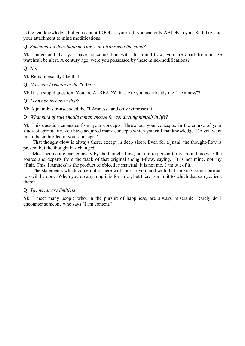is the real knowledge, but you cannot LOOK at yourself, you can only ABIDE in your Self. Give up your attachment to mind modifications.

**Q:** *Sometimes it does happen. How can I transcend the mind?*

**M:** Understand that you have no connection with this mind-flow; you are apart from it. Be watchful, be alert. A century ago, were you possessed by these mind-modifications?

**Q:** *No.*

**M:** Remain exactly like that.

**Q:** *How can I remain in the "I Am"?*

**M:** It is a stupid question. You are ALREADY that. Are you not already the "I Amness"?

**Q:** *I can't be free from that?*

**M:** A jnani has transcended the "I Amness" and only witnesses it.

**Q:** *What kind of rule should a man choose for conducting himself in life?*

**M:** This question emanates from your concepts. Throw out your concepts. In the course of your study of spirituality, you have acquired many concepts which you call that knowledge. Do you want me to be embroiled in your concepts?

That thought-flow is always there, except in deep sleep. Even for a jnani, the thought-flow is present but the thought has changed.

Most people are carried away by the thought-flow, but a rare person turns around, goes to the source and departs from the track of that original thought-flow, saying, "It is not mine, not my affair. This 'I Amness' is the product of objective material, it is not me. I am out of it."

The statements which come out of here will stick to you, and with that sticking, your spiritual job will be done. When you do anything it is for "me", but there is a limit to which that can go, isn't there?

### **Q:** *The needs are limitless.*

**M:** I meet many people who, in the pursuit of happiness, are always miserable. Rarely do I encounter someone who says "I am content."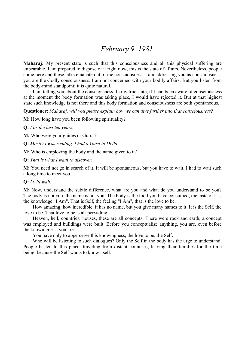# *February 9, 1981*

**Maharaj:** My present state is such that this consciousness and all this physical suffering are unbearable. I am prepared to dispose of it right now; this is the state of affairs. Nevertheless, people come here and these talks emanate out of the consciousness. I am addressing you as consciousness; you are the Godly consciousness. I am not concerned with your bodily affairs. But you listen from the body-mind standpoint; it is quite natural.

I am telling you about the consciousness. In my true state, if I had been aware of consciousness at the moment the body formation was taking place, I would have rejected it. But at that highest state such knowledge is not there and this body formation and consciousness are both spontaneous.

**Questioner:** *Maharaj, will you please explain how we can dive further into that consciousness?*

**M:** How long have you been following spirituality?

**Q:** *For the last ten years.*

**M:** Who were your guides or Gurus?

**Q:** *Mostly I was reading. I had a Guru in Delhi.*

**M:** Who is employing the body and the name given to it?

**Q:** *That is what I want to discover.*

**M:** You need not go in search of it. It will be spontaneous, but you have to wait. I had to wait such a long time to meet you.

### **Q:** *I will wait.*

**M:** Now, understand the subtle difference, what are you and what do you understand to be you? The body is not you, the name is not you. The body is the food you have consumed, the taste of it is the knowledge "I Am". That is Self, the feeling "I Am", that is the love to be.

How amazing, how incredible, it has no name, but you give many names to it. It is the Self, the love to be. That love to be is all-pervading.

Heaven, hell, countries, houses, these are all concepts. There were rock and earth, a concept was employed and buildings were built. Before you conceptualize anything, you are, even before the knowingness, you are.

You have only to apperceive this knowingness, the love to be, the Self.

Who will be listening to such dialogues? Only the Self in the body has the urge to understand. People hasten to this place, traveling from distant countries, leaving their families for the time being, because the Self wants to know itself.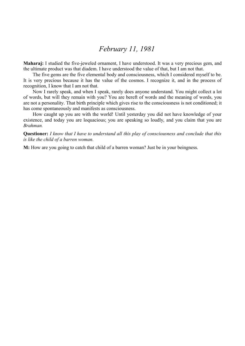# *February 11, 1981*

**Maharaj:** I studied the five-jeweled ornament, I have understood. It was a very precious gem, and the ultimate product was that diadem. I have understood the value of that, but I am not that.

The five gems are the five elemental body and consciousness, which I considered myself to be. It is very precious because it has the value of the cosmos. I recognize it, and in the process of recognition, I know that I am not that.

Now I rarely speak, and when I speak, rarely does anyone understand. You might collect a lot of words, but will they remain with you? You are bereft of words and the meaning of words, you are not a personality. That birth principle which gives rise to the consciousness is not conditioned; it has come spontaneously and manifests as consciousness.

How caught up you are with the world! Until yesterday you did not have knowledge of your existence, and today you are loquacious; you are speaking so loudly, and you claim that you are *Brahman.*

**Questioner:** *I know that I have to understand all this play of consciousness and conclude that this is like the child of a barren woman.*

**M:** How are you going to catch that child of a barren woman? Just be in your beingness.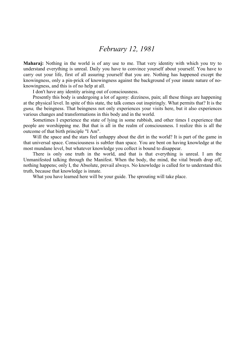# *February 12, 1981*

**Maharaj:** Nothing in the world is of any use to me. That very identity with which you try to understand everything is unreal. Daily you have to convince yourself about yourself. You have to carry out your life, first of all assuring yourself that you are. Nothing has happened except the knowingness, only a pin-prick of knowingness against the background of your innate nature of noknowingness, and this is of no help at all.

I don't have any identity arising out of consciousness.

Presently this body is undergoing a lot of agony: dizziness, pain; all these things are happening at the physical level. In spite of this state, the talk comes out inspiringly. What permits that? It is the *guna,* the beingness. That beingness not only experiences your visits here, but it also experiences various changes and transformations in this body and in the world.

Sometimes I experience the state of lying in some rubbish, and other times I experience that people are worshipping me. But that is all in the realm of consciousness. I realize this is all the outcome of that birth principle "I Am".

Will the space and the stars feel unhappy about the dirt in the world? It is part of the game in that universal space. Consciousness is subtler than space. You are bent on having knowledge at the most mundane level, but whatever knowledge you collect is bound to disappear.

There is only one truth in the world, and that is that everything is unreal. I am the Unmanifested talking through the Manifest. When the body, the mind, the vital breath drop off, nothing happens; only I, the Absolute, prevail always. No knowledge is called for to understand this truth, because that knowledge is innate.

What you have learned here will be your guide. The sprouting will take place.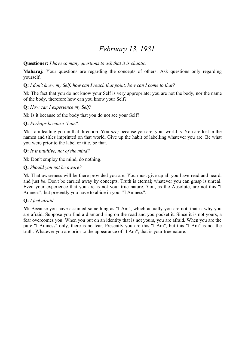# *February 13, 1981*

**Questioner:** *I have so many questions to ask that it is chaotic.*

**Maharaj:** Your questions are regarding the concepts of others. Ask questions only regarding yourself.

**Q:** *I don't know my Self, how can I reach that point, how can I come to that?*

**M:** The fact that you do not know your Self is very appropriate; you are not the body, nor the name of the body, therefore how can you know your Self?

**Q:** *How can I experience my Self?*

**M:** Is it because of the body that you do not see your Self?

**Q:** *Perhaps because "l am".*

**M:** I am leading you in that direction. You *are;* because you are, your world is. You are lost in the names and titles imprinted on that world. Give up the habit of labelling whatever you are. Be what you were prior to the label or title, be that.

**Q:** *Is it intuitive, not of the mind?*

**M:** Don't employ the mind, do nothing.

**Q:** *Should you not be aware?*

**M:** That awareness will be there provided you are. You must give up all you have read and heard, and just *be.* Don't be carried away by concepts. Truth is eternal; whatever you can grasp is unreal. Even your experience that you are is not your true nature. You, as the Absolute, are not this "I Amness", but presently you have to abide in your "I Amness".

## **Q:** *I feel afraid.*

**M:** Because you have assumed something as "I Am", which actually you are not, that is why you are afraid. Suppose you find a diamond ring on the road and you pocket it. Since it is not yours, a fear overcomes you. When you put on an identity that is not yours, you are afraid. When you are the pure "I Amness" only, there is no fear. Presently you are this "I Am", but this "I Am" is not the truth. Whatever you are prior to the appearance of "I Am", that is your true nature.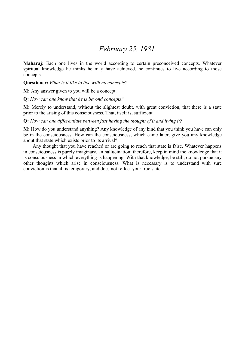# *February 25, 1981*

**Maharaj:** Each one lives in the world according to certain preconceived concepts. Whatever spiritual knowledge he thinks he may have achieved, he continues to live according to those concepts.

**Questioner:** *What is it like to live with no concepts?*

**M:** Any answer given to you will be a concept.

**Q:** *How can one know that he is beyond concepts?*

**M:** Merely to understand, without the slightest doubt, with great conviction, that there is a state prior to the arising of this consciousness. That, itself is, sufficient.

**Q:** *How can one differentiate between just having the thought of it and living it?*

**M:** How do you understand anything? Any knowledge of any kind that you think you have can only be in the consciousness. How can the consciousness, which came later, give you any knowledge about that state which exists prior to its arrival?

Any thought that you have reached or are going to reach that state is false. Whatever happens in consciousness is purely imaginary, an hallucination; therefore, keep in mind the knowledge that it is consciousness in which everything is happening. With that knowledge, be still, do not pursue any other thoughts which arise in consciousness. What is necessary is to understand with sure conviction is that all is temporary, and does not reflect your true state.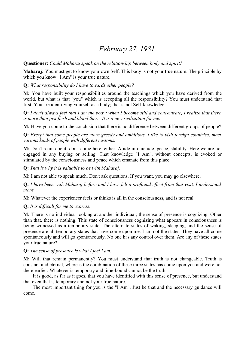# *February 27, 1981*

**Questioner:** *Could Maharaj speak on the relationship between body and spirit?*

**Maharaj:** You must get to know your own Self. This body is not your true nature. The principle by which you know "I Am" is your true nature.

**Q:** *What responsibility do I have towards other people?*

**M:** You have built your responsibilities around the teachings which you have derived from the world, but what is that "you" which is accepting all the responsibility? You must understand that first. You are identifying yourself as a body; that is not Self-knowledge.

Q: I don't always feel that I am the body; when I become still and concentrate, I realize that there *is more than just flesh and blood there. It is a new realization for me.*

**M:** Have you come to the conclusion that there is no difference between different groups of people?

**Q:** *Except that some people are more greedy and ambitious. I like to visit foreign countries, meet various kinds of people with different customs.*

**M:** Don't roam about; don't come here, either. Abide in quietude, peace, stability. Here we are not engaged in any buying or selling. That knowledge "I Am", without concepts, is evoked or stimulated by the consciousness and peace which emanate from this place.

**Q:** *That is why it is valuable to be with Maharaj.*

**M:** I am not able to speak much. Don't ask questions. If you want, you may go elsewhere.

Q: I have been with Maharaj before and I have felt a profound effect from that visit. I understood *more.*

**M:** Whatever the experiencer feels or thinks is all in the consciousness, and is not real.

## **Q:** *It is difficult for me to express.*

**M:** There is no individual looking at another individual; the sense of presence is cognizing. Other than that, there is nothing. This state of consciousness cognizing what appears in consciousness is being witnessed as a temporary state. The alternate states of waking, sleeping, and the sense of presence are all temporary states that have come upon me. I am not the states. They have all come spontaneously and will go spontaneously. No one has any control over them. Are any of these states your true nature?

## **Q:** *The sense of presence is what I feel I am.*

**M:** Will that remain permanently? You must understand that truth is not changeable. Truth is constant and eternal, whereas the combination of these three states has come upon you and were not there earlier. Whatever is temporary and time-bound cannot be the truth.

It is good, as far as it goes, that you have identified with this sense of presence, but understand that even that is temporary and not your true nature.

The most important thing for you is the "I Am". Just be that and the necessary guidance will come.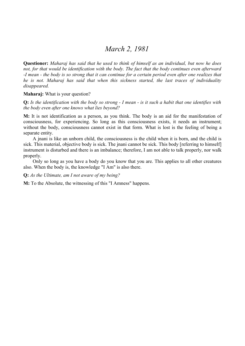# *March 2, 1981*

**Questioner:** *Maharaj has said that he used to think of himself as an individual, but now he does not, for that would be identification with the body. The fact that the body continues even afterward* -I mean - the body is so strong that it can continue for a certain period even after one realizes that *he is not. Maharaj has said that when this sickness started, the last traces of individuality disappeared.*

### **Maharaj:** What is your question?

 $Q$ : Is the identification with the body so strong - I mean - is it such a habit that one identifies with *the body even after one knows what lies beyond?*

**M:** It is not identification as a person, as you think. The body is an aid for the manifestation of consciousness, for experiencing. So long as this consciousness exists, it needs an instrument; without the body, consciousness cannot exist in that form. What is lost is the feeling of being a separate entity.

A jnani is like an unborn child, the consciousness is the child when it is born, and the child is sick. This material, objective body is sick. The jnani cannot be sick. This body [referring to himself] instrument is disturbed and there is an imbalance; therefore, I am not able to talk properly, nor walk properly.

Only so long as you have a body do you know that you are. This applies to all other creatures also. When the body is, the knowledge "I Am" is also there.

**Q:** *As the Ultimate, am I not aware of my being?*

**M:** To the Absolute, the witnessing of this "I Amness" happens.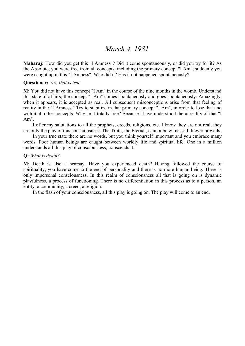# *March 4, 1981*

**Maharaj:** How did you get this "I Amness"? Did it come spontaneously, or did you try for it? As the Absolute, you were free from all concepts, including the primary concept "I Am"; suddenly you were caught up in this "I Amness". Who did it? Has it not happened spontaneously?

### **Questioner:** *Yes, that is true.*

**M:** You did not have this concept "I Am" in the course of the nine months in the womb. Understand this state of affairs; the concept "I Am" comes spontaneously and goes spontaneously. Amazingly, when it appears, it is accepted as real. All subsequent misconceptions arise from that feeling of reality in the "I Amness." Try to stabilize in that primary concept "I Am", in order to lose that and with it all other concepts. Why am I totally free? Because I have understood the unreality of that "I Am".

I offer my salutations to all the prophets, creeds, religions, etc. I know they are not real, they are only the play of this consciousness. The Truth, the Eternal, cannot be witnessed. It ever prevails.

In your true state there are no words, but you think yourself important and you embrace many words. Poor human beings are caught between worldly life and spiritual life. One in a million understands all this play of consciousness, transcends it.

#### **Q:** *What is death?*

**M:** Death is also a hearsay. Have you experienced death? Having followed the course of spirituality, you have come to the end of personality and there is no more human being. There is only impersonal consciousness. In this realm of consciousness all that is going on is dynamic playfulness, a process of functioning. There is no differentiation in this process as to a person, an entity, a community, a creed, a religion.

In the flash of your consciousness, all this play is going on. The play will come to an end.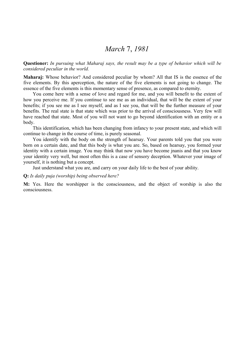# *March* 7, *1981*

**Questioner:** *In pursuing what Maharaj says, the result may be a type of behavior which will be considered peculiar in the world.*

**Maharaj:** Whose behavior? And considered peculiar by whom? All that IS is the essence of the five elements. By this aperception, the nature of the five elements is not going to change. The essence of the five elements is this momentary sense of presence, as compared to eternity.

You come here with a sense of love and regard for me, and you will benefit to the extent of how you perceive me. If you continue to see me as an individual, that will be the extent of your benefits; if you see me as I see myself, and as I see you, that will be the further measure of your benefits. The real state is that state which was prior to the arrival of consciousness. Very few will have reached that state. Most of you will not want to go beyond identification with an entity or a body.

This identification, which has been changing from infancy to your present state, and which will continue to change in the course of time, is purely seasonal.

You identify with the body on the strength of hearsay. Your parents told you that you were born on a certain date, and that this body is what you are. So, based on hearsay, you formed your identity with a certain image. You may think that now you have become jnanis and that you know your identity very well, but most often this is a case of sensory deception. Whatever your image of yourself, it is nothing but a concept.

Just understand what you are, and carry on your daily life to the best of your ability.

#### **Q:** *Is daily puja (worship) being observed here?*

**M:** Yes. Here the worshipper is the consciousness, and the object of worship is also the consciousness.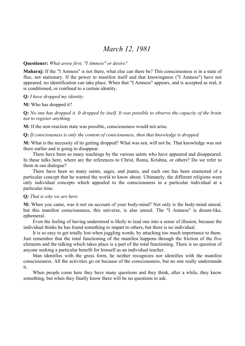# *March 12, 1981*

### **Questioner:** *What arose first, "I Amness" or desire?*

**Maharaj:** If the "I Amness" is not there, what else can there be? This consciousness is in a state of flux, not stationary. If the power to manifest itself and that knowingness ("I Amness") have not appeared, no identification can take place. When that "I Amness" appears, and is accepted as real, it is conditioned, or confined to a certain identity.

### **Q:** *I have dropped my identity.*

**M:** Who has dropped it?

**Q:** No one has dropped it. It dropped by itself. It was possible to observe the capacity of the brain *not to register anything.*

**M:** If the non-reaction state was possible, consciousness would not arise.

**Q:** *If consciousness is only the content of consciousness, then that knowledge is dropped.*

**M:** What is the necessity of its getting dropped? What was not, will not be. That knowledge was not there earlier and is going to disappear.

There have been so many teachings by the various saints who have appeared and disappeared. In these talks here, where are the references to Christ, Rama, Krishna, or others? Do we refer to them in our dialogue?

There have been so many saints, sages, and jnanis, and each one has been enamored of a particular concept that he wanted the world to know about. Ultimately, the different religions were only individual concepts which appealed to the consciousness in a particular individual at a particular time.

#### **Q:** *That is why we are here.*

**M:** When you came, was it not on account of your body-mind? Not only is the body-mind unreal, but this manifest consciousness, this universe, is also unreal. The "I Amness" is dream-like, ephemeral.

Even the feeling of having understood is likely to lead one into a sense of illusion, because the individual thinks he has found something to impart to others, but there is no individual.

It is so easy to get totally lost when juggling words, by attaching too much importance to them. Just remember that the total functioning of the manifest happens through the friction of the five elements and the talking which takes place is a part of the total functioning. There is no question of anyone seeking a particular benefit for himself as an individual teacher.

Man identifies with the gross form, he neither recognizes nor identifies with the manifest consciousness. All the activities go on because of the consciousness, but no one really understands it.

When people come here they have many questions and they think, after a while, they know something, but when they finally know there will be no questions to ask.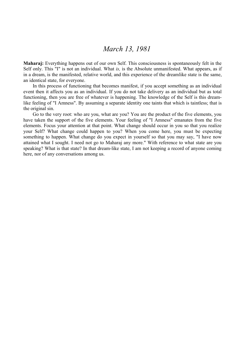# *March 13, 1981*

**Maharaj:** Everything happens out of our own Self. This consciousness is spontaneously felt in the Self only. This "I" is not an individual. What *is,* is the Absolute unmanifested. What appears, as if in a dream, is the manifested, relative world, and this experience of the dreamlike state is the same, an identical state, for everyone.

In this process of functioning that becomes manifest, if you accept something as an individual event then it affects you as an individual. If you do not take delivery as an individual but as total functioning, then you are free of whatever is happening. The knowledge of the Self is this dreamlike feeling of "I Amness". By assuming a separate identity one taints that which is taintless; that is the original sin.

Go to the very root: who are you, what are you? You are the product of the five elements, you have taken the support of the five elements. Your feeling of "I Amness" emanates from the five elements. Focus your attention at that point. What change should occur in you so that you realize your Self? What change could happen to you? When you come here, you must be expecting something to happen. What change do you expect in yourself so that you may say, "I have now attained what I sought. I need not go to Maharaj any more." With reference to what state are you speaking? What is that state? In that dream-like state, I am not keeping a record of anyone coming here, nor of any conversations among us.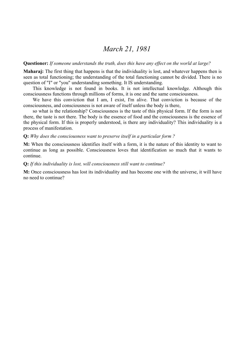# *March 21, 1981*

#### **Questioner:** *If someone understands the truth, does this have any effect on the world at large?*

**Maharaj:** The first thing that happens is that the individuality is lost, and whatever happens then is seen as total functioning; the understanding of the total functioning cannot be divided. There is no question of "I" or "you" understanding something. It IS understanding.

This knowledge is not found in books. It is not intellectual knowledge. Although this consciousness functions through millions of forms, it is one and the same consciousness.

We have this conviction that I am, I exist, I'm alive. That conviction is because of the consciousness, and consciousness is not aware of itself unless the body is there,

so what is the relationship? Consciousness is the taste of this physical form. If the form is not there, the taste is not there. The body is the essence of food and the consciousness is the essence of the physical form. If this is properly understood, is there any individuality? This individuality is a process of manifestation.

### **Q:** *Why does the consciousness want to preserve itself in a particular form ?*

**M:** When the consciousness identifies itself with a form, it is the nature of this identity to want to continue as long as possible. Consciousness loves that identification so much that it wants to continue.

#### **Q:** *If this individuality is lost, will consciousness still want to continue?*

**M:** Once consciousness has lost its individuality and has become one with the universe, it will have no need to continue?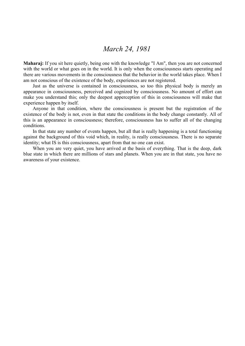## *March 24, 1981*

**Maharaj:** If you sit here quietly, being one with the knowledge "I Am", then you are not concerned with the world or what goes on in the world. It is only when the consciousness starts operating and there are various movements in the consciousness that the behavior in the world takes place. When I am not conscious of the existence of the body, experiences are not registered.

Just as the universe is contained in consciousness, so too this physical body is merely an appearance in consciousness, perceived and cognized by consciousness. No amount of effort can make you understand this; only the deepest apperception of this in consciousness will make that experience happen by itself.

Anyone in that condition, where the consciousness is present but the registration of the existence of the body is not, even in that state the conditions in the body change constantly. All of this is an appearance in consciousness; therefore, consciousness has to suffer all of the changing conditions.

In that state any number of events happen, but all that is really happening is a total functioning against the background of this void which, in reality, is really consciousness. There is no separate identity; what IS is this consciousness, apart from that no one can exist.

When you are very quiet, you have arrived at the basis of everything. That is the deep, dark blue state in which there are millions of stars and planets. When you are in that state, you have no awareness of your existence.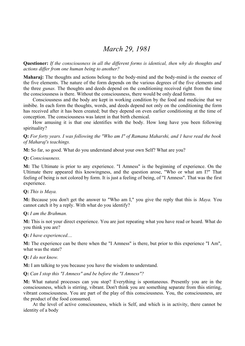# *March 29, 1981*

**Questioner:** *If the consciousness in all the different forms is identical, then why do thoughts and actions differ from one human being to another?*

**Maharaj:** The thoughts and actions belong to the body-mind and the body-mind is the essence of the five elements. The nature of the form depends on the various degrees of the five elements and the three *gunas.* The thoughts and deeds depend on the conditioning received right from the time the consciousness is there. Without the consciousness, there would be only dead forms.

Consciousness and the body are kept in working condition by the food and medicine that we imbibe. In each form the thoughts, words, and deeds depend not only on the conditioning the form has received after it has been created; but they depend on even earlier conditioning at the time of conception. The consciousness was latent in that birth chemical.

How amusing it is that one identifies with the body. How long have you been following spirituality?

## **Q:** *For forty years. I was following the "Who am I" of Ramana Maharshi, and 1 have read the book of Maharaj's teachings.*

**M:** So far, so good. What do you understand about your own Self? What are you?

**Q:** *Consciousness.*

**M:** The Ultimate is prior to any experience. "I Amness" is the beginning of experience. On the Ultimate there appeared this knowingness, and the question arose, "Who or what am I?" That feeling of being is not colored by form. It is just a feeling of being, of "I Amness". That was the first experience.

## **Q:** *This is Maya.*

**M:** Because you don't get the answer to "Who am I," you give the reply that this is *Maya.* You cannot catch it by a reply. With what do you identify?

### **Q:** *I am the Brahman.*

**M:** This is not your direct experience. You are just repeating what you have read or heard. What do you think you are?

### **Q:** *I have experienced....*

**M:** The experience can be there when the "I Amness" is there, but prior to this experience "I Am", what was the state?

## **Q:** *I do not know.*

**M:** I am talking to you because you have the wisdom to understand.

## **Q:** *Can I stop this "I Amness" and be before the "I Amness"?*

**M:** What natural processes can you stop? Everything is spontaneous. Presently you are in the consciousness, which is stirring, vibrant. Don't think you are something separate from this stirring, vibrant consciousness. You are part of the play of this consciousness. You, the consciousness, are the product of the food consumed.

At the level of active consciousness, which is Self, and which is in activity, there cannot be identity of a body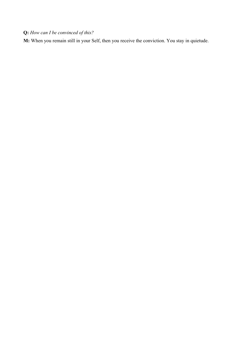# **Q:** *How can I be convinced of this?*

**M:** When you remain still in your Self, then you receive the conviction. You stay in quietude.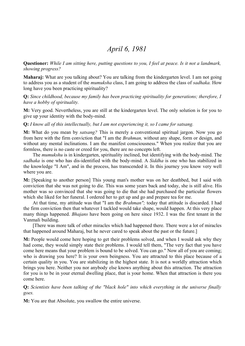# *April 6, 1981*

**Questioner:** While I am sitting here, putting questions to you, I feel at peace. Is it not a landmark, *showing progress?*

**Maharaj:** What are you talking about? You are talking from the kindergarten level. I am not going to address you as a student of the *mumuksha* class, I am going to address the class of *sadhaka.* How long have you been practicing spirituality?

**Q:** *Since childhood, because my family has been practicing spirituality for generations; therefore, I have a hobby of spirituality.*

**M:** Very good. Nevertheless, you are still at the kindergarten level. The only solution is for you to give up your identity with the body-mind.

**Q:** *I know all of this intellectually, but I am not experiencing it, so I came for satsang.*

**M:** What do you mean by *satsang?* This is merely a conventional spiritual jargon. Now you go from here with the firm conviction that "I am the *Brahman,* without any shape, form or design, and without any mental inclinations. I am the manifest consciousness." When you realize that you are formless, there is no caste or creed for you, there are no concepts left.

The *mumukshu* is in kindergarten, spirituality inclined, but identifying with the body-mind. The *sadhaka* is one who has dis-identified with the body-mind. A *Siddha* is one who has stabilized in the knowledge "I Am", and in the process, has transcended it. In this journey you know very well where you are.

**M:** [Speaking to another person] This young man's mother was on her deathbed, but I said with conviction that she was not going to die. This was some years back and today, she is still alive. His mother was so convinced that she was going to die that she had purchased the particular flowers which she liked for her funeral. I ordered her to get up and go and prepare tea for me.

At that time, my attitude was that "I am the *Brahman";* today that attitude is discarded. I had the firm conviction then that whatever I tackled would take shape, would happen. At this very place many things happened. *Bhajans* have been going on here since 1932. I was the first tenant in the Vanmali building.

[There was more talk of other miracles which had happened there. There were a lot of miracles that happened around Maharaj, but he never cared to speak about the past or the future.]

**M:** People would come here hoping to get their problems solved, and when I would ask why they had come, they would simply state their problems. I would tell them, "The very fact that you have come here means that your problem is bound to be solved. You can go." Now all of you are coming; who is drawing you here? It is your own beingness. You are attracted to this place because of a certain quality in you. You are stabilizing in the highest state. It is not a worldly attraction which brings you here. Neither you nor anybody else knows anything about this attraction. The attraction for you is to be in your eternal dwelling place, that is your home. When that attraction is there you come here.

**Q:** *Scientists have been talking of the "black hole" into which everything in the universe finally goes.*

**M:** You are that Absolute, you swallow the entire universe.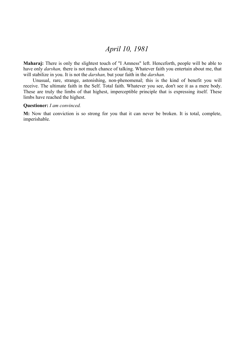# *April 10, 1981*

**Maharaj:** There is only the slightest touch of "I Amness" left. Henceforth, people will be able to have only *darshan,* there is not much chance of talking. Whatever faith you entertain about me, that will stabilize in you. It is not the *darshan,* but your faith in the *darshan.*

Unusual, rare, strange, astonishing, non-phenomenal; this is the kind of benefit you will receive. The ultimate faith in the Self. Total faith. Whatever you see, don't see it as a mere body. These are truly the limbs of that highest, imperceptible principle that is expressing itself. These limbs have reached the highest.

#### **Questioner:** *I am convinced.*

**M:** Now that conviction is so strong for you that it can never be broken. It is total, complete, imperishable.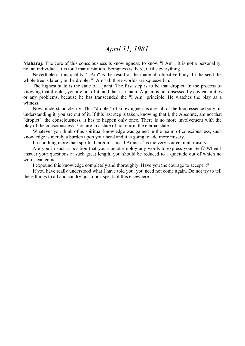# *April 11, 1981*

**Maharaj:** The core of this consciousness is knowingness, to know "I Am". It is not a personality, not an individual. It is total manifestation. Beingness is there, it fills everything.

Nevertheless, this quality "I Am" is the result of the material, objective body. In the seed the whole tree is latent; in the droplet "I Am" all three worlds are squeezed in.

The highest state is the state of a jnani. The first step is to be that droplet. In the process of knowing that droplet, you are out of it, and that is a jnani. A jnani is not obsessed by any calamities or any problems, because he has transcended the "I Am" principle. He watches the play as a witness.

Now, understand clearly. This "droplet" of knowingness is a result of the food essence body; in understanding it, you are out of it. If this last step is taken, knowing that I, the Absolute, am not that "droplet", the consciousness, it has to happen only once. There is no more involvement with the play of the consciousness. You are in a state of no return, the eternal state.

Whatever you think of as spiritual knowledge was gained in the realm of consciousness; such knowledge is merely a burden upon your head and it is going to add more misery.

It is nothing more than spiritual jargon. This "I Amness" is the very source of all misery.

Are you in such a position that you cannot employ any words to express your Self? When I answer your questions at such great length, you should be reduced to a quietude out of which no words can come.

I expound this knowledge completely and thoroughly. Have you the courage to accept it?

If you have really understood what I have told you, you need not come again. Do not try to tell these things to all and sundry, just don't speak of this elsewhere.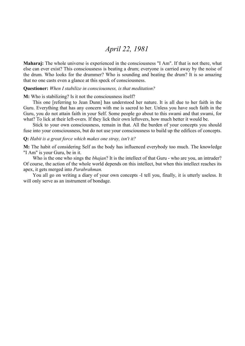# *April 22, 1981*

**Maharaj:** The whole universe is experienced in the consciousness "I Am". If that is not there, what else can ever exist? This consciousness is beating a drum; everyone is carried away by the noise of the drum. Who looks for the drummer? Who is sounding and beating the drum? It is so amazing that no one casts even a glance at this speck of consciousness.

#### **Questioner:** *When I stabilize in consciousness, is that meditation?*

**M:** Who is stabilizing? Is it not the consciousness itself?

This one [referring to Jean Dunn] has understood her nature. It is all due to her faith in the Guru. Everything that has any concern with me is sacred to her. Unless you have such faith in the Guru, you do not attain faith in your Self. Some people go about to this swami and that swami, for what? To lick at their left-overs. If they lick their own leftovers, how much better it would be.

Stick to your own consciousness, remain in that. All the burden of your concepts you should fuse into your consciousness, but do not use your consciousness to build up the edifices of concepts.

#### **Q:** *Habit is a great force which makes one stray, isn't it?*

**M:** The habit of considering Self as the body has influenced everybody too much. The knowledge "I Am" is your Guru, be in it.

Who is the one who sings the *bhajan*? It is the intellect of that Guru - who are you, an intruder? Of course, the action of the whole world depends on this intellect, but when this intellect reaches its apex, it gets merged into *Parabrahman.*

You all go on writing a diary of your own concepts -I tell you, finally, it is utterly useless. It will only serve as an instrument of bondage.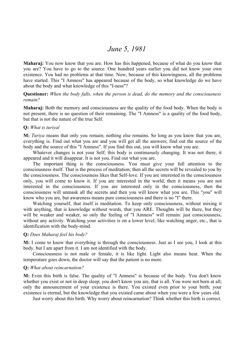## *June 5, 1981*

**Maharaj:** You now know that you are. How has this happened, because of what do you know that you are? You have to go to the source. One hundred years earlier you did not know your own existence. You had no problems at that time. Now, because of this knowingness, all the problems have started. This "I Amness" has appeared because of the body, so what knowledge do we have about the body and what knowledge of this "I-ness"?

#### **Questioner:** *When the body falls, when the person is dead, do the memory and the consciousness remain?*

**Maharaj:** Both the memory and consciousness are the quality of the food body. When the body is not present, there is no question of their remaining. The "I Amness" is a quality of the food body, but that is not the nature of the true Self.

#### **Q:** *What is turiyal*

**M:** *Turiya* means that only you remain; nothing else remains. So long as you know that you are, everything is. Find out what you are and you will get all the answers; find out the source of the body and the source of this "I Amness". If you find this out, you will know what you are.

Whatever changes is not your Self; this body is continuously changing. It was not there, it appeared and it will disappear. It is not you. Find out what you are.

The important thing is the consciousness. You must give your full attention to the consciousness itself. That is the process of meditation; then all the secrets will be revealed to you by the consciousness. The consciousness likes that Self-love. If you are interested in the consciousness only, you will come to know it. If you are interested in the world, then it means you are not interested in the consciousness. If you are interested only in the consciousness, then the consciousness will unmask all the secrets and then you will know what you are. This "you" will know who you are, but awareness means pure consciousness and there is no "I" there.

Watching yourself, that itself is meditation. To keep only consciousness, without mixing it with anything, that is knowledge without words, that you ARE. Thoughts will be there, but they will be weaker and weaker, so only the feeling of "I Amness" will remain: just consciousness, without any activity. Watching your activities is on a lower level, like watching anger, etc., that is identification with the body-mind.

#### **Q:** *Does Maharaj feel his body?*

**M:** I come to know that everything is through the consciousness. Just as I see you, I look at this body, but I am apart from it. I am not identified with the body.

Consciousness is not male or female, it is like light. Light also means heat. When the temperature goes down, the doctor will say that the patient is no more.

#### **Q:** *What about reincarnation?*

**M:** Even this birth is false. The quality of "I Amness" is because of the body. You don't know whether you exist or not in deep sleep; you don't know you are, that is all. You were not born at all; only the announcement of your existence is there. You existed even prior to your birth; your existence is eternal, but the knowledge that you existed came about when you were a few years old.

Just worry about this birth. Why worry about reincarnation? Think whether this birth is correct.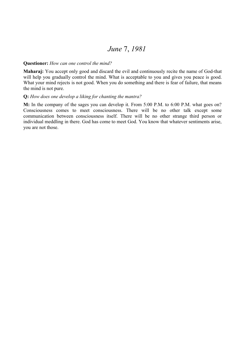# *June* 7, *1981*

#### **Questioner:** *How can one control the mind?*

**Maharaj:** You accept only good and discard the evil and continuously recite the name of God-that will help you gradually control the mind. What is acceptable to you and gives you peace is good. What your mind rejects is not good. When you do something and there is fear of failure, that means the mind is not pure.

#### **Q:** *How does one develop a liking for chanting the mantra?*

**M:** In the company of the sages you can develop it. From 5:00 P.M. to 6:00 P.M. what goes on? Consciousness comes to meet consciousness. There will be no other talk except some communication between consciousness itself. There will be no other strange third person or individual meddling in there. God has come to meet God. You know that whatever sentiments arise, you are not those.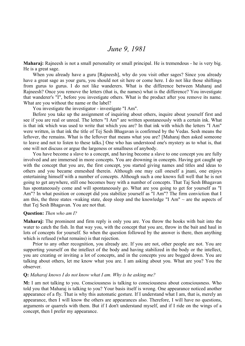## *June 9, 1981*

**Maharaj:** Rajneesh is not a small personality or small principal. He is tremendous - he is very big. He is a great sage.

When you already have a guru [Rajneesh], why do you visit other sages? Since you already have a great sage as your guru, you should not sit here or come here. I do not like those shiftings from gurus to gurus. I do not like wanderers. What is the difference between Maharaj and Rajneesh? Once you remove the letters (that is, the names) what is the difference? You investigate that wanderer's "I", before you investigate others. What is the product after you remove its name. What are you without the name or the label?

You investigate the investigator - investigate "I Am".

Before you take up the assignment of inquiring about others, inquire about yourself first and see if you are real or unreal. The letters "I Am" are written spontaneously with a certain ink. What is that ink which was used to write that which you are? In that ink with which the letters "I Am" were written, in that ink the title of Tej Sesh Bhagavan is confirmed by the Vedas. Sesh means the leftover, the remains. What is the leftover that means what you are? [Maharaj then asked someone to leave and not to listen to these talks.] One who has understood one's mystery as to what is, that one will not discuss or argue the largeness or smallness of anybody.

You have become a slave to a concept, and having become a slave to one concept you are fully involved and are immersed in more concepts. You are drowning in concepts. Having got caught up with the concept that you are, the first concept, you started giving names and titles and ideas to others and you became enmeshed therein. Although one may call oneself a jnani, one enjoys entertaining himself with a number of concepts. Although such a one knows full well that he is not going to get anywhere, still one becomes busy with a number of concepts. That Taj Sesh Bhagavan has spontaneously come and will spontaneously go. What are you going to get for yourself as "I Am"? In what position or concept did you stabilize yourself as "I Am"? The firm conviction that I am this, the three states -waking state, deep sleep and the knowledge "I Am"  $\sim$  are the aspects of that Tej Sesh Bhagavan. You are not that.

#### **Question:** *Then who am I?*

**Maharaj:** The prominent and firm reply is only you are. You throw the hooks with bait into the water to catch the fish. In that way you, with the concept that you are, throw in the bait and haul in lots of concepts for yourself. So when the question followed by the answer is there, then anything which is refused (what remains) is that rejection.

Prior to any other recognition, you already are. If you are not, other people are not. You are supporting yourself on the intellect of the body and having stabilized in the body or the intellect, you are creating or inviting a lot of concepts, and in the concepts you are bogged down. You are talking about others, let me know what you are. I am asking about you. What are you? You the observer.

#### **Q:** *Maharaj knows I do not know what I am. Why is he asking me?*

**M:** I am not talking to you. Consciousness is talking to consciousness about consciousness. Who told you that Maharaj is talking to you? Your basis itself is wrong. One appearance noticed another appearance of a fly. That is why this automatic gesture. If I understand what I am, that is, merely an appearance, then I will know the others are appearances also. Therefore, I will have no questions, arguments or quarrels with them. But if I don't understand myself, and if I ride on the wings of a concept, then I prefer my appearance.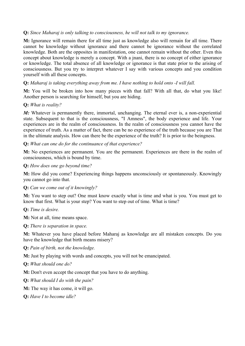### **Q:** *Since Maharaj is only talking to consciousness, he will not talk to my ignorance.*

**M:** Ignorance will remain there for all time just as knowledge also will remain for all time. There cannot be knowledge without ignorance and there cannot be ignorance without the correlated knowledge. Both are the opposites in manifestation, one cannot remain without the other. Even this concept about knowledge is merely a concept. With a jnani, there is no concept of either ignorance or knowledge. The total absence of all knowledge or ignorance is that state prior to the arising of consciousness. But you try to interpret whatever I say with various concepts and you condition yourself with all these concepts.

### **Q:** *Maharaj is taking everything away from me. I have nothing to hold onto -I will fall.*

**M:** You will be broken into how many pieces with that fall? With all that, do what you like! Another person is searching for himself, but you are hiding.

### **Q:** *What is reality?*

*M:* Whatever is permanently there, immortal, unchanging. The eternal ever is, a non-experiential state. Subsequent to that is the consciousness, "I Amness", the body experience and life. Your experiences are in the realm of consciousness. In the realm of consciousness you cannot have the experience of truth. As a matter of fact, there can be no experience of the truth because you are That in the ultimate analysis. How can there be the experience of the truth? It is prior to the beingness.

### **Q:** *What can one do for the continuance of that experience?*

**M:** No experiences are permanent. You are the permanent. Experiences are there in the realm of consciousness, which is bound by time.

### **Q:** *How does one go beyond time?*

**M:** How did you come? Experiencing things happens unconsciously or spontaneously. Knowingly you cannot go into that.

### **Q:** *Can we come out of it knowingly?*

**M:** You want to step out? One must know exactly what is time and what is you. You must get to know that first. What is your step? You want to step out of time. What is time?

#### **Q:** *Time is desire.*

**M:** Not at all, time means space.

**Q:** *There is separation in space.*

**M:** Whatever you have placed before Maharaj as knowledge are all mistaken concepts. Do you have the knowledge that birth means misery?

### **Q:** *Pain of birth, not the knowledge.*

**M:** Just by playing with words and concepts, you will not be emancipated.

**Q:** *What should one do?*

- **M:** Don't even accept the concept that you have to do anything.
- **Q:** *What should I do with the pain?*
- **M:** The way it has come, it will go.
- **Q:** *Have I to become idle?*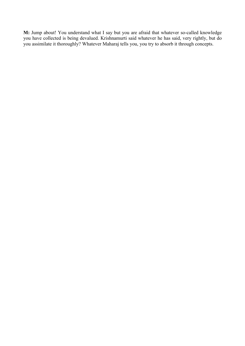**M:** Jump about! You understand what I say but you are afraid that whatever so-called knowledge you have collected is being devalued. Krishnamurti said whatever he has said, very rightly, but do you assimilate it thoroughly? Whatever Maharaj tells you, you try to absorb it through concepts.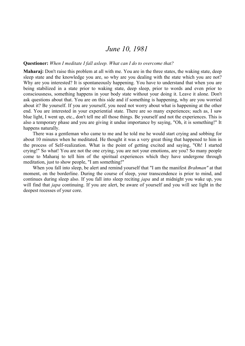## *June 10, 1981*

#### **Questioner:** *When I meditate I fall asleep. What can I do to overcome that?*

**Maharaj:** Don't raise this problem at all with me. You are in the three states, the waking state, deep sleep state and the knowledge you are, so why are you dealing with the state which you are not? Why are you interested? It is spontaneously happening. You have to understand that when you are being stabilized in a state prior to waking state, deep sleep, prior to words and even prior to consciousness, something happens in your body state without your doing it. Leave it alone. Don't ask questions about that. You are on this side and if something is happening, why are you worried about it? Be yourself. If you are yourself, you need not worry about what is happening at the other end. You are interested in your experiential state. There are so many experiences; such as, I saw blue light, I went up, etc., don't tell me all those things. Be yourself and not the experiences. This is also a temporary phase and you are giving it undue importance by saying, "Oh, it is something!" It happens naturally.

There was a gentleman who came to me and he told me he would start crying and sobbing for about 10 minutes when he meditated. He thought it was a very great thing that happened to him in the process of Self-realization. What is the point of getting excited and saying, "Oh! I started crying!" So what! You are not the one crying, you are not your emotions, are you? So many people come to Maharaj to tell him of the spiritual experiences which they have undergone through meditation, just to show people, "I am something!"

When you fall into sleep, be alert and remind yourself that "I am the manifest *Brahman"* at that moment, on the borderline. During the course of sleep, your transcendence is prior to mind, and continues during sleep also. If you fall into sleep reciting *japa* and at midnight you wake up, you will find that *japa* continuing. If you are alert, be aware of yourself and you will see light in the deepest recesses of your core.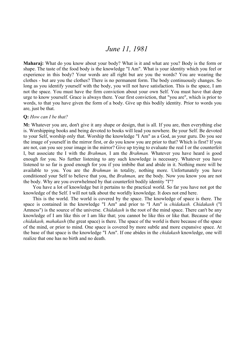## *June 11, 1981*

**Maharaj:** What do you know about your body? What is it and what are you? Body is the form or shape. The taste of the food body is the knowledge "I Am". What is your identity which you feel or experience in this body? Your words are all right but are you the words? You are wearing the clothes - but are you the clothes? There is no permanent form. The body continuously changes. So long as you identify yourself with the body, you will not have satisfaction. This is the space, I am not the space. You must have the firm conviction about your own Self. You must have that deep urge to know yourself. Grace is always there. Your first conviction, that "you are", which is prior to words, to that you have given the form of a body. Give up this bodily identity. Prior to words you are, just be that.

#### **Q:** *How can I be that?*

**M:** Whatever you are, don't give it any shape or design, that is all. If you are, then everything else is. Worshipping books and being devoted to books will lead you nowhere. Be your Self. Be devoted to your Self, worship only that. Worship the knowledge "I Am" as a God, as your guru. Do you see the image of yourself in the mirror first, or do you know you are prior to that? Which is first? If you are not, can you see your image in the mirror? Give up trying to evaluate the real I or the counterfeit I, but associate the I with the *Brahman,* I am the *Brahman.* Whatever you have heard is good enough for you. No further listening to any such knowledge is necessary. Whatever you have listened to so far is good enough for you if you imbibe that and abide in it. Nothing more will be available to you. You are the *Brahman* in totality, nothing more. Unfortunately you have conditioned your Self to believe that you, the *Brahman,* are the body. Now you know you are not the body. Why are you overwhelmed by that counterfeit bodily identity "I"?

You have a lot of knowledge but it pertains to the practical world. So far you have not got the knowledge of the Self. I will not talk about the worldly knowledge. It does not end here.

This is the world. The world is covered by the space. The knowledge of space is there. The space is contained in the knowledge "I Am" and prior to "I Am" is *chidakash. Chidakash* ("I Amness") is the source of the universe. *Chidakash* is the root of the mind space. There can't be any knowledge of I am like this or I am like that; you cannot be like this or like that. Because of the *chidakash, mahakash* (the great space) is there. The space of the world is there because of the space of the mind, or prior to mind. One space is covered by more subtle and more expansive space. At the base of that space is the knowledge "I Am". If one abides in the *chidakash* knowledge, one will realize that one has no birth and no death.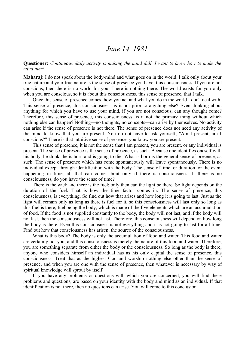## *June 14, 1981*

**Questioner:** *Continuous daily activity is making the mind dull. I want to know how to make the mind alert.*

**Maharaj:** I do not speak about the body-mind and what goes on in the world. I talk only about your true nature and your true nature is the sense of presence you have, this consciousness. If you are not conscious, then there is no world for you. There is nothing there. The world exists for you only when you are conscious, so it is about this consciousness, this sense of presence, that I talk.

Once this sense of presence comes, how you act and what you do in the world I don't deal with. This sense of presence, this consciousness, is it not prior to anything else? Even thinking about anything for which you have to use your mind, if you are not conscious, can any thought come? Therefore, this sense of presence, this consciousness, is it not the primary thing without which nothing else can happen? Nothing—no thoughts, no concepts—can arise by themselves. No activity can arise if the sense of presence is not there. The sense of presence does not need any activity of the mind to know that you are present. You do not have to ask yourself, "Am I present, am I conscious?" There is that intuitive sense of presence, you know you are present.

This sense of presence, it is not the sense that I am present, you are present, or any individual is present. The sense of presence is the sense of presence, as such. Because one identifies oneself with his body, he thinks he is born and is going to die. What is born is the general sense of presence, as such. The sense of presence which has come spontaneously will leave spontaneously. There is no individual except through identification with the body. The sense of time, or duration, or the event happening in time, all that can come about only if there is consciousness. If there is no consciousness, do you have the sense of time?

There is the wick and there is the fuel; only then can the light be there. So light depends on the duration of the fuel. That is how the time factor comes in. The sense of presence, this consciousness, is everything. So find out how that arises and how long it is going to last. Just as the light will remain only as long as there is fuel for it, so this consciousness will last only so long as this fuel is there, fuel being the body, which is made of the five elements which are an accumulation of food. If the food is not supplied constantly to the body, the body will not last, and if the body will not last, then the consciousness will not last. Therefore, this consciousness will depend on how long the body is there. Even this consciousness is not everything and it is not going to last for all time. Find out how that consciousness has arisen, the source of the consciousness.

What is this body? The body is only the accumulation of food and water. This food and water are certainly not you, and this consciousness is merely the nature of this food and water. Therefore, you are something separate from either the body or the consciousness. So long as the body is there, anyone who considers himself an individual has as his only capital the sense of presence, this consciousness. Treat that as the highest God and worship nothing else other than the sense of presence, and when you are one with the sense of presence, then whatever is necessary by way of spiritual knowledge will sprout by itself.

If you have any problems or questions with which you are concerned, you will find these problems and questions, are based on your identity with the body and mind as an individual. If that identification is not there, then no questions can arise. You will come to this conclusion.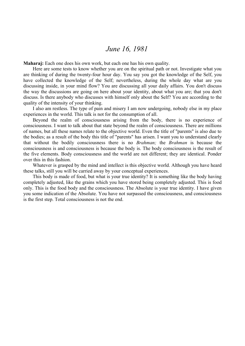### *June 16, 1981*

**Maharaj:** Each one does his own work, but each one has his own quality.

Here are some tests to know whether you are on the spiritual path or not. Investigate what you are thinking of during the twenty-four hour day. You say you got the knowledge of the Self, you have collected the knowledge of the Self; nevertheless, during the whole day what are you discussing inside, in your mind flow? You are discussing all your daily affairs. You don't discuss the way the discussions are going on here about your identity, about what you are; that you don't discuss. Is there anybody who discusses with himself only about the Self? You are according to the quality of the intensity of your thinking.

I also am restless. The type of pain and misery I am now undergoing, nobody else in my place experiences in the world. This talk is not for the consumption of all.

Beyond the realm of consciousness arising from the body, there is no experience of consciousness. I want to talk about that state beyond the realm of consciousness. There are millions of names, but all these names relate to the objective world. Even the title of "parents" is also due to the bodies; as a result of the body this title of "parents" has arisen. I want you to understand clearly that without the bodily consciousness there is no *Brahman;* the *Brahman* is because the consciousness is and consciousness is because the body is. The body consciousness is the result of the five elements. Body consciousness and the world are not different; they are identical. Ponder over this in this fashion.

Whatever is grasped by the mind and intellect is this objective world. Although you have heard these talks, still you will be carried away by your conceptual experiences.

This body is made of food, but what is your true identity? It is something like the body having completely adjusted, like the grains which you have stored being completely adjusted. This is food only. This is the food body and the consciousness. The Absolute is your true identity. I have given you some indication of the Absolute. You have not surpassed the consciousness, and consciousness is the first step. Total consciousness is not the end.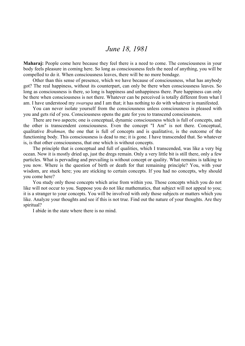### *June 18, 1981*

**Maharaj:** People come here because they feel there is a need to come. The consciousness in your body feels pleasure in coming here. So long as consciousness feels the need of anything, you will be compelled to do it. When consciousness leaves, there will be no more bondage.

Other than this sense of presence, which we have because of consciousness, what has anybody got? The real happiness, without its counterpart, can only be there when consciousness leaves. So long as consciousness is there, so long is happiness and unhappiness there. Pure happiness can only be there when consciousness is not there. Whatever can be perceived is totally different from what I am. I have understood my *swarupa* and I am that; it has nothing to do with whatever is manifested.

You can never isolate yourself from the consciousness unless consciousness is pleased with you and gets rid of you. Consciousness opens the gate for you to transcend consciousness.

There are two aspects; one is conceptual, dynamic consciousness which is full of concepts, and the other is transcendent consciousness. Even the concept "I Am" is not there. Conceptual, qualitative *Brahman,* the one that is full of concepts and is qualitative, is the outcome of the functioning body. This consciousness is dead to me; it is gone. I have transcended that. So whatever is, is that other consciousness, that one which is without concepts.

The principle that is conceptual and full of qualities, which I transcended, was like a very big ocean. Now it is mostly dried up, just the dregs remain. Only a very little bit is still there, only a few particles. What is pervading and prevailing is without concept or quality. What remains is talking to you now. Where is the question of birth or death for that remaining principle? You, with your wisdom, are stuck here; you are sticking to certain concepts. If you had no concepts, why should you come here?

You study only those concepts which arise from within you. Those concepts which you do not like will not occur to you. Suppose you do not like mathematics, that subject will not appeal to you; it is a stranger to your concepts. You will be involved with only those subjects or matters which you like. Analyze your thoughts and see if this is not true. Find out the nature of your thoughts. Are they spiritual?

I abide in the state where there is no mind.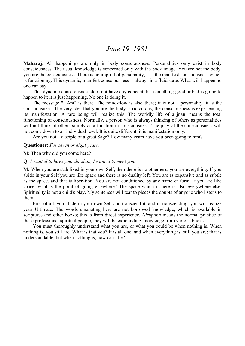## *June 19, 1981*

**Maharaj:** All happenings are only in body consciousness. Personalities only exist in body consciousness. The usual knowledge is concerned only with the body image. You are not the body, you are the consciousness. There is no imprint of personality, it is the manifest consciousness which is functioning. This dynamic, manifest consciousness is always in a fluid state. What will happen no one can say.

This dynamic consciousness does not have any concept that something good or bad is going to happen to it; it is just happening. No one is doing it.

The message "I Am" is there. The mind-flow is also there; it is not a personality, it is the consciousness. The very idea that you are the body is ridiculous; the consciousness is experiencing its manifestation. A rare being will realize this. The worldly life of a jnani means the total functioning of consciousness. Normally, a person who is always thinking of others as personalities will not think of others simply as a function in consciousness. The play of the consciousness will not come down to an individual level. It is quite different, it is manifestation only.

Are you not a disciple of a great Sage? How many years have you been going to him?

**Questioner:** *For seven or eight years.*

**M:** Then why did you come here?

#### **Q:** *I wanted to have your darshan, I wanted to meet you.*

**M:** When you are stabilized in your own Self, then there is no otherness, you are everything. If you abide in your Self you are like space and there is no duality left. You are as expansive and as subtle as the space, and that is liberation. You are not conditioned by any name or form. If you are like space, what is the point of going elsewhere? The space which is here is also everywhere else. Spirituality is not a child's play. My sentences will tear to pieces the doubts of anyone who listens to them.

First of all, you abide in your own Self and transcend it, and in transcending, you will realize your Ultimate. The words emanating here are not borrowed knowledge, which is available in scriptures and other books; this is from direct experience. *Nirupana* means the normal practice of these professional spiritual people, they will be expounding knowledge from various books.

You must thoroughly understand what you are, or what you could be when nothing is. When nothing is, you still are. What is that you? It is all one, and when everything is, still you are; that is understandable, but when nothing is, how can I be?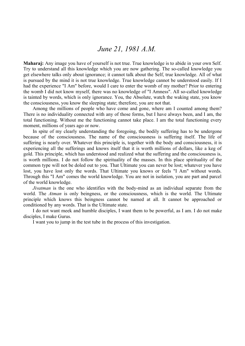### *June 21, 1981 A.M.*

**Maharaj:** Any image you have of yourself is not true. True knowledge is to abide in your own Self. Try to understand all this knowledge which you are now gathering. The so-called knowledge you get elsewhere talks only about ignorance; it cannot talk about the Self, true knowledge. All of what is pursued by the mind it is not true knowledge. True knowledge cannot be understood easily. If I had the experience "I Am" before, would I care to enter the womb of my mother? Prior to entering the womb I did not know myself, there was no knowledge of "I Amness". All so-called knowledge is tainted by words, which is only ignorance. You, the Absolute, watch the waking state, you know the consciousness, you know the sleeping state; therefore, you are not that.

Among the millions of people who have come and gone, where am I counted among them? There is no individuality connected with any of those forms, but I have always been, and I am, the total functioning. Without me the functioning cannot take place. I am the total functioning every moment, millions of years ago or now.

In spite of my clearly understanding the foregoing, the bodily suffering has to be undergone because of the consciousness. The name of the consciousness is suffering itself. The life of suffering is nearly over. Whatever this principle is, together with the body and consciousness, it is experiencing all the sufferings and knows itself that it is worth millions of dollars, like a keg of gold. This principle, which has understood and realized what the suffering and the consciousness is, is worth millions. I do not follow the spirituality of the masses. In this place spirituality of the common type will not be doled out to you. That Ultimate you can never be lost; whatever you have lost, you have lost only the words. That Ultimate you knows or feels "I Am" without words. Through this "I Am" comes the world knowledge. You are not in isolation, you are part and parcel of the world knowledge.

*Jivatman* is the one who identifies with the body-mind as an individual separate from the world. The *Atman* is only beingness, or the consciousness, which is the world. The Ultimate principle which knows this beingness cannot be named at all. It cannot be approached or conditioned by any words. That is the Ultimate state.

I do not want meek and humble disciples, I want them to be powerful, as I am. I do not make disciples, I make Gurus.

I want you to jump in the test tube in the process of this investigation.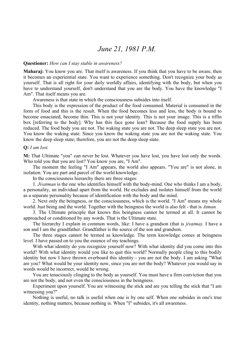## *June 21, 1981 P.M.*

#### **Questioner:** *How can I stay stable in awareness?*

**Maharaj:** You know you are. That itself is awareness. If you think that you have to be aware, then it becomes an experiential state. You want to experience something. Don't recognize your body as yourself. That is all right for your daily worldly affairs, identifying with the body, but when you have to understand yourself, don't understand that you are the body. You have the knowledge "I Am". That itself means you are.

Awareness is that state in which the consciousness subsides into itself.

This body is the expression of the product of the food consumed. Material is consumed in the form of food and this is the result. When the food becomes less and less, the body is bound to become emaciated, become thin. This is not your identity. This is not your image. This is a tiffin box [referring to the body]. Why has this face gone lean? Because the food supply has been reduced. The food body you are not. The waking state you are not. The deep sleep state you are not. You know the waking state. Since you know the waking state you are not the waking state. You know the deep sleep state; therefore, you are not the deep sleep state.

#### **Q:** *I am lost.*

**M:** That Ultimate "you" can never be lost. Whatever you have lost, you have lost only the words. Who told you that you are lost? You know you are, "I Am".

The moment the feeling "I Am" appears, the world also appears. "You are" is not alone, in isolation. You are part and parcel of the world knowledge.

In the consciousness hierarchy there are three stages:

1. *Jivatman* is the one who identifies himself with the body-mind. One who thinks I am a body, a personality, an individual apart from the world. He excludes and isolates himself from the world as a separate personality because of identification with the body and the mind.

2. Next only the beingness, or the consciousness, which is the world. "I Am" means my whole world. Just being and the world. Together with the beingness the world is also felt - that is *Atman.*

3. The Ultimate principle that knows this beingness cannot be termed at all. It cannot be approached or conditioned by any words. That is the Ultimate state.

The hierarchy I explain in common words, like: I have a grandson (that is *jivatma).* I have a son and I am the grandfather. Grandfather is the source of the son and grandson.

The three stages cannot be termed as knowledge. The term knowledge comes at beingness level. I have passed on to you the essence of my teachings.

With what identity do you recognize yourself now? With what identity did you come into this world? With what identity would you like to quit this world? Normally people cling to this bodily identity but now I have thrown overboard this identity - you are not the body. I am asking "What are you? What would be your identity now, since you are not the body? Whatever you would say in words would be incorrect, would be wrong.

You are tenaciously clinging to the body as yourself. You must have a firm conviction that you are not the body, and not even the consciousness in the beingness.

Experiment upon yourself. You are witnessing the stick and are you telling the stick that "I am witnessing you?"

Nothing is useful, no talk is useful when one is by one self. When one subsides in one's true identity, nothing matters, because nothing is. When "I" subsides, it's all awareness.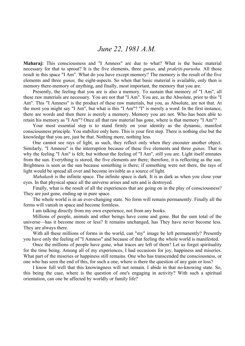## *June 22, 1981 A.M.*

**Maharaj:** This consciousness and "I Amness" are due to what? What is the basic material necessary for that to sprout? It is the five elements, three *gunas,* and *prakriti-purusha.* All those result in this space "I Am". What do you have except memory? The memory is the result of the five elements and three *gunas,* the eight-aspects. So when that basic material is available, only then is memory there-memory of anything, and finally, most important, the memory that you are.

Presently, the feeling that you are is also a memory. To sustain that memory of "I Am", all these raw materials are necessary. You are not that "I Am". You are, as the Absolute, prior to this "I Am". This "I Amness" is the product of these raw materials, but you, as Absolute, are not that. At the most you might say "I Am", but what is this "I Am"? "I" is merely a word. In the first instance, there are words and then there is merely a memory. Memory you are not. Who has been able to retain his memory as "I Am"? Once all that raw material has gone, where is that memory "I Am"?

Your most essential step is to stand firmly on your identity as the dynamic, manifest consciousness principle. You stabilize only here. This is your first step. There is nothing else but the knowledge that you are, just be that. Nothing more, nothing less.

One cannot see rays of light, as such, they reflect only when they encouter another object. Similarly, "I Amness" is the interruption because of these five elements and three *gunas.* That is why the feeling "I Am" is felt; but without the feeling of "I Am", still you are. Light itself emnates from the sun. Everything is stored, the five elements are there; therefore, it is reflecting as the sun. Brightness is seen as the sun because something is there; if something were not there, the rays of light would be spread all over and become invisible as a source of light.

*Mahakash* is the infinite space. The infinite space is dark. It is as dark as when you close your eyes. In that physical space all the universe arises and sets and is destroyed.

Finally, what is the result of all the experiences that are going on in the play of consciousness? They are just gone, ending up in pure space.

The whole world is in an ever-changing state. No form will remain permanently. Finally all the forms will vanish in space and become formless.

I am talking directly from my own experience, not from any books.

Millions of people, animals and other beings have come and gone. But the sum total of the universe—has it become more or less? It remains unchanged, has They have never become less. They are always there.

With all these millions of forms in the world, can "my" image be left permanently? Presently you have only the feeling of "I Amness" and because of that feeling the whole world is manifested.

Once the millions of people have gone, what traces are left of them? Let us forget spirituality for the time being. Among all of my experiences, I had occasions for joy, happiness and miseries. What part of the miseries or happiness still remains. One who has transcended the consciousness, or one who has seen the end of this, for such a one, where is there the question of any gain or loss?

I know full well that this knowingness will not remain. I abide in that no-knowing state. So, this being the case, where is the question of one's engaging in activity? With such a spiritual orientation, can one be affected by worldly or family life?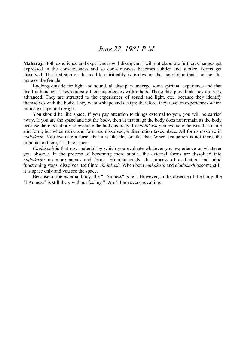### *June 22, 1981 P.M.*

**Maharaj:** Both experience and experiencer will disappear. I will not elaborate further. Changes get expressed in the consciousness and so consciousness becomes subtler and subtler. Forms get dissolved. The first step on the road to spirituality is to develop that conviction that I am not the male or the female.

Looking outside for light and sound, all disciples undergo some spiritual experience and that itself is bondage. They compare their experiences with others. Those disciples think they are very advanced. They are attracted to the experiences of sound and light, etc., because they identify themselves with the body. They want a shape and design; therefore, they revel in experiences which indicate shape and design.

You should be like space. If you pay attention to things external to you, you will be carried away. If you are the space and not the body, then at that stage the body does not remain as the body because there is nobody to evaluate the body as body. In *chidakash* you evaluate the world as name and form, but when name and form are dissolved, a dissolution takes place. All forms dissolve in *mahakash.* You evaluate a form, that it is like this or like that. When evaluation is not there, the mind is not there, it is like space.

*Chidakash* is that raw material by which you evaluate whatever you experience or whatever you observe. In the process of becoming more subtle, the external forms are dissolved into *mahakash*; no more names and forms. Simultaneously, the process of evaluation and mind functioning stops, dissolves itself into *chidakash.* When both *mahakash* and *chidakash* become still, it is space only and you are the space.

Because of the external body, the "I Amness" is felt. However, in the absence of the body, the "I Amness" is still there without feeling "I Am". I am ever-prevailing.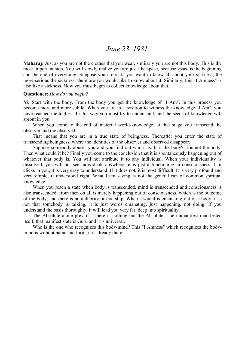# *June 23, 1981*

**Maharaj:** Just as you are not the clothes that you wear, similarly you are not this body. This is the most important step. You will slowly realize you are just like space, because space is the beginning and the end of everything. Suppose you are sick: you want to know all about your sickness, the more serious the sickness, the more you would like to know about it. Similarly, this "I Amness" is also like a sickness. Now you must begin to collect knowledge about that.

#### **Questioner:** *How do you begin?*

**M:** Start with the body. From the body you get the knowledge of "I Am". In this process you become more and more subtle. When you are in a position to witness the knowledge "I Am", you have reached the highest. In this way you must try to understand, and the seeds of knowledge will sprout in you.

When you come to the end of material world-knowledge, at that stage you transcend the observer and the observed.

That means that you are in a true state of beingness. Thereafter you enter the state of transcending beingness, where the identities of the observer and observed disappear.

Suppose somebody abuses you and you find out who it is. Is it the body? It is not the body. Then what could it be? Finally you come to the conclusion that it is spontaneously happening out of whatever that body is. You will not attribute it to any individual. When your individuality is dissolved, you will not see individuals anywhere, it is just a functioning in consciousness. If it clicks in you, it is very easy to understand. If it does not, it is most difficult. It is very profound and very simple, if understood right. What I am saying is not the general run of common spiritual knowledge.

When you reach a state when body is transcended, mind is transcended and consciousness is also transcended; from then on all is merely happening out of consciousness, which is the outcome of the body, and there is no authority or doership. When a sound is emanating out of a body, it is not that somebody is talking, it is just words emanating, just happening, not doing. If you understand the basis thoroughly, it will lead you very far, deep into spirituality.

The Absolute alone prevails. There is nothing but the Absolute. The unmanifest manifested itself, that manifest state is Guru and it is universal.

Who is the one who recognizes this body-mind? This "I Amness" which recognizes the bodymind is without name and form, it is already there.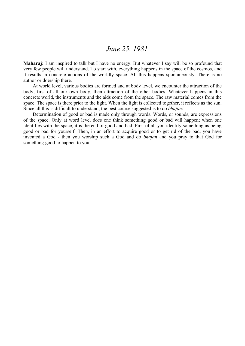## *June 25, 1981*

**Maharaj:** I am inspired to talk but I have no energy. But whatever I say will be so profound that very few people will understand. To start with, everything happens in the space of the cosmos, and it results in concrete actions of the worldly space. All this happens spontaneously. There is no author or doership there.

At world level, various bodies are formed and at body level, we encounter the attraction of the body; first of all our own body, then attraction of the other bodies. Whatever happens in this concrete world, the instruments and the aids come from the space. The raw material comes from the space. The space is there prior to the light. When the light is collected together, it reflects as the sun. Since all this is difficult to understand, the best course suggested is to do *bhajan!*

Determination of good or bad is made only through words. Words, or sounds, are expressions of the space. Only at word level does one think something good or bad will happen; when one identifies with the space, it is the end of good and bad. First of all you identify something as being good or bad for yourself. Then, in an effort to acquire good or to get rid of the bad, you have invented a God - then you worship such a God and do *bhajan* and you pray to that God for something good to happen to you.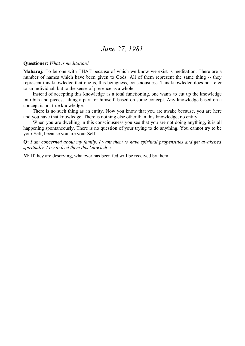# *June 27, 1981*

#### **Questioner:** *What is meditation?*

**Maharaj:** To be one with THAT because of which we know we exist is meditation. There are a number of names which have been given to Gods. All of them represent the same thing -- they represent this knowledge that one is, this beingness, consciousness. This knowledge does not refer to an individual, but to the sense of presence as a whole.

Instead of accepting this knowledge as a total functioning, one wants to cut up the knowledge into bits and pieces, taking a part for himself, based on some concept. Any knowledge based on a concept is not true knowledge.

There is no such thing as an entity. Now you know that you are awake because, you are here and you have that knowledge. There is nothing else other than this knowledge, no entity.

When you are dwelling in this consciousness you see that you are not doing anything, it is all happening spontaneously. There is no question of your trying to do anything. You cannot try to be your Self, because you are your Self.

**Q:** *I am concerned about my family. I want them to have spiritual propensities and get awakened spiritually. I try to feed them this knowledge.*

**M:** If they are deserving, whatever has been fed will be received by them.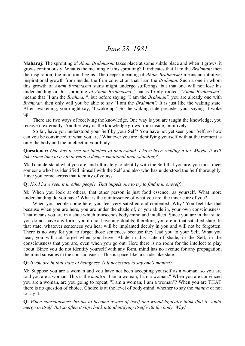# *June 28, 1981*

**Maharaj:** The sprouting of *Aham Brahmasmi* takes place at some subtle place and when it grows, it grows continuously. What is the meaning of this sprouting? It indicates that I am the *Brahman;* then the inspiration, the intuition, begins. The deeper meaning of *Aham Brahmasmi* means an intuitive, inspirational growth from inside, the firm conviction that I am the *Brahman.* Such a one in whom this growth of *Aham Brahmasmi* starts might undergo sufferings, but that one will not lose his understanding or this sprouting *of Aham Brahmasmi.* That is firmly rooted. *"Aham Brahmasmi"* means that "I am the *Brahman",* but before saying "I am the *Brahman",* you are already one with *Brahman,* then only will you be able to say "I am the *Brahman".* It is just like the waking state. After awakening, you might say, "I woke up." So the waking state precedes your saying "I woke up."

There are two ways of receiving the knowledge. One way is you are taught the knowledge, you receive it externally. Another way is, the knowledge grows from inside, intuitively.

So far, have you understood your Self by your Self? You have not yet seen your Self, so how can you be convinced of what you are? Whatever you are identifying yourself with at the moment is only the body and the intellect in your body.

### **Questioner:** *One has to use the intellect to understand. I have been reading a lot. Maybe it will take some time to try to develop a deeper emotional understanding?*

**M:** To understand what you are, and ultimately to identify with the Self that you are, you must meet someone who has identified himself with the Self and also who has understood the Self thoroughly. Have you come across that identity of yours?

#### **Q:** *No. I have seen it in other people. That impels one to try to find it in oneself.*

**M:** When you look at others, that other person is just food essence, as yourself. What more understanding do you have? What is the quintessence of what you are, the inner core of you?

When you people come here, you feel very satisfied and contented. Why? You feel like that because when you are here, you are under the shade of, or you abide in, your own consciousness. That means you are in a state which transcends body-mind and intellect. Since you are in that state, you do not have any form, you do not have any doubts; therefore, you are in that satisfied state. In that state, whatever sentences you hear will be implanted deeply in you and will not be forgotten. There is no way for you to forget those sentences because they lead you to your Self. What you hear, you will not forget when you leave. Abide in this state of shade, in the Self, in the consciousness that you are, even when you go out. Here there is no room for the intellect to play about. Since you do not identify yourself with any form, mind has no avenue for any propagation; the mind subsides in the consciousness. This is space-like, a shade-like state.

**Q:** *If you are in that state of beingness, is it necessary to say one's mantra?*

**M:** Suppose you are a woman and you have not been accepting yourself as a woman, so you are told you are a woman. This is the *mantra* "I am a woman, I am a woman." When you are convinced you are a woman, are you going to repeat, "I am a woman, I am a woman"? When you are THAT there is no question of choice. Choice is at the level of body-mind, whether to say the *mantra* or not to say it.

**Q:** *When consciousness begins to become aware of itself one would logically think that it would merge in itself. But so often it slips back into identifying itself with the body. Why?*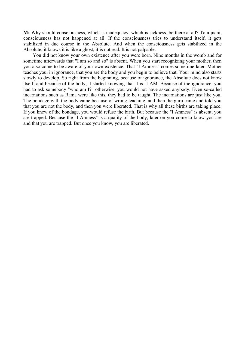**M:** Why should consciousness, which is inadequacy, which is sickness, be there at all? To a jnani, consciousness has not happened at all. If the consciousness tries to understand itself, it gets stabilized in due course in the Absolute. And when the consciousness gets stabilized in the Absolute, it knows it is like a ghost, it is not real. It is not palpable.

You did not know your own existence after you were born. Nine months in the womb and for sometime afterwards that "I am so and so" is absent. When you start recognizing your mother, then you also come to be aware of your own existence. That "I Amness" comes sometime later. Mother teaches you, in ignorance, that you are the body and you begin to believe that. Your mind also starts slowly to develop. So right from the beginning, because of ignorance, the Absolute does not know itself; and because of the body, it started knowing that it is--I AM. Because of the ignorance, you had to ask somebody "who am I?" otherwise, you would not have asked anybody. Even so-called incarnations such as Rama were like this, they had to be taught. The incarnations are just like you. The bondage with the body came because of wrong teaching, and then the guru came and told you that you are not the body, and then you were liberated. That is why all these births are taking place. If you knew of the bondage, you would refuse the birth. But because the "I Amness" is absent, you are trapped. Because the "I Amness" is a quality of the body, later on you come to know you are and that you are trapped. But once you know, you are liberated.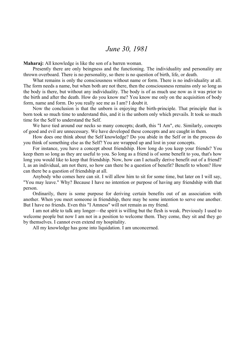### *June 30, 1981*

**Maharaj:** All knowledge is like the son of a barren woman.

Presently there are only beingness and the functioning. The individuality and personality are thrown overboard. There is no personality, so there is no question of birth, life, or death.

What remains is only the consciousness without name or form. There is no individuality at all. The form needs a name, but when both are not there, then the consciousness remains only so long as the body is there, but without any individuality. The body is of as much use now as it was prior to the birth and after the death. How do you know me? You know me only on the acquisition of body form, name and form. Do you really see me as I am? I doubt it.

Now the conclusion is that the unborn is enjoying the birth-principle. That principle that is born took so much time to understand this, and it is the unborn only which prevails. It took so much time for the Self to understand the Self.

We have tied around our necks so many concepts; death, this "I Am", etc. Similarly, concepts of good and evil are unnecessary. We have developed these concepts and are caught in them.

How does one think about the Self knowledge? Do you abide in the Self or in the process do you think of something else as the Self? You are wrapped up and lost in your concepts.

For instance, you have a concept about friendship. How long do you keep your friends? You keep them so long as they are useful to you. So long as a friend is of some benefit to you, that's how long you would like to keep that friendship. Now, how can I actually derive benefit out of a friend? I, as an individual, am not there, so how can there be a question of benefit? Benefit to whom? How can there be a question of friendship at all.

Anybody who comes here can sit. I will allow him to sit for some time, but later on I will say, "You may leave." Why? Because I have no intention or purpose of having any friendship with that person.

Ordinarily, there is some purpose for deriving certain benefits out of an association with another. When you meet someone in friendship, there may be some intention to serve one another. But I have no friends. Even this "I Amness" will not remain as my friend.

I am not able to talk any longer—the spirit is willing but the flesh is weak. Previously I used to welcome people but now I am not in a position to welcome them. They come, they sit and they go by themselves. I cannot even extend my hospitality.

All my knowledge has gone into liquidation. I am unconcerned.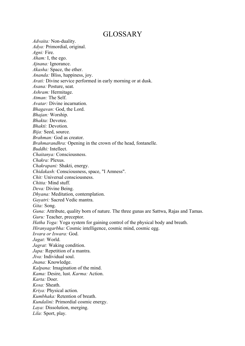## GLOSSARY

*Advaita:* Non-duality. *Adya:* Primordial, original. *Agni:* Fire. *Aham:* I, the ego. *Ajnana:* Ignorance. *Akasha:* Space, the ether. *Ananda:* Bliss, happiness, joy. *Arati:* Divine service performed in early morning or at dusk. *Asana:* Posture, seat. *Ashram:* Hermitage. *Atman:* The Self. *Avatar:* Divine incarnation. *Bhagavan:* God, the Lord. *Bhajan:* Worship. *Bhakta:* Devotee. *Bhakti:* Devotion. *Bija:* Seed, source. *Brahman:* God as creator. *Brahmarandhra:* Opening in the crown of the head, fontanelle. *Buddhi:* Intellect. *Chaitanya:* Consciousness. *Chakra:* Plexus. *Chakrapani:* Shakti, energy. *Chidakash:* Consciousness, space, "I Amness". *Chit:* Universal consciousness. *Chitta:* Mind stuff. *Deva:* Divine Being. *Dhyana:* Meditation, contemplation. *Gayatri:* Sacred Vedic mantra. *Gita:* Song. *Guna:* Attribute, quality born of nature. The three gunas are Sattwa, Rajas and Tamas. *Guru:* Teacher, preceptor. *Hatha Yoga:* Yoga system for gaining control of the physical body and breath. *Hiranyagarbha:* Cosmic intelligence, cosmic mind, cosmic egg. *Isvara or Iswara:* God. *Jagat:* World. *Jagrat:* Waking condition. *Japa:* Repetition of a mantra. *Jiva:* Individual soul. *Jnana:* Knowledge. *Kalpana:* Imagination of the mind. *Kama:* Desire, lust. *Karma:* Action. *Karta:* Doer. *Kosa:* Sheath. *Kriya:* Physical action. *Kumbhaka:* Retention of breath. *Kundalini:* Primordial cosmic energy. *Laya:* Dissolution, merging. *Lila:* Sport, play.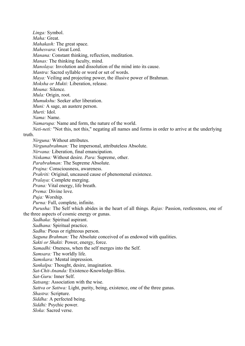*Linga:* Symbol. *Maha:* Great. *Mahakash:* The great space. *Mahesvara:* Great Lord. *Manana:* Constant thinking, reflection, meditation. *Manas:* The thinking faculty, mind. *Manolaya:* Involution and dissolution of the mind into its cause. *Mantra:* Sacred syllable or word or set of words. *Maya:* Veiling and projecting power, the illusive power of Brahman. *Moksha or Mukti:* Liberation, release. *Mouna:* Silence. *Mula:* Origin, root. *Mumukshu:* Seeker after liberation. *Muni:* A sage, an austere person. *Murti:* Idol. *Nama:* Name. *Namarupa:* Name and form, the nature of the world. *Neti-neti:* "Not this, not this," negating all names and forms in order to arrive at the underlying truth. *Nirguna:* Without attributes. *Nirgunabrahman:* The impersonal, attributeless Absolute. *Nirvana:* Liberation, final emancipation. *Niskama:* Without desire. *Para:* Supreme, other. *Parabrahman:* The Supreme Absolute. *Prajna:* Consciousness, awareness. *Prakriti:* Original, uncaused cause of phenomenal existence. *Pralaya:* Complete merging. *Prana:* Vital energy, life breath. *Prema:* Divine love. *Puja:* Worship. *Purna:* Full, complete, infinite. *Purusha:* The Self which abides in the heart of all things. *Rajas:* Passion, restlessness, one of the three aspects of cosmic energy or gunas. *Sadhaka:* Spiritual aspirant. *Sadhana:* Spiritual practice. *Sadhu:* Pious or righteous person. *Saguna Brahman:* The Absolute conceived of as endowed with qualities. *Sakti or Shakti:* Power, energy, force. *Samadhi:* Oneness, when the self merges into the Self. *Samsara:* The worldly life. *Samskara:* Mental impression. *Sankalpa:* Thought, desire, imagination. *Sat-Chit-Ananda:* Existence-Knowledge-Bliss. *Sat-Guru:* Inner Self. *Satsang:* Association with the wise. *Sattva or Sattwa:* Light, purity, being, existence, one of the three gunas. *Shastra:* Scripture. *Siddha:* A perfected being. *Siddhi:* Psychic power. *Sloka:* Sacred verse.